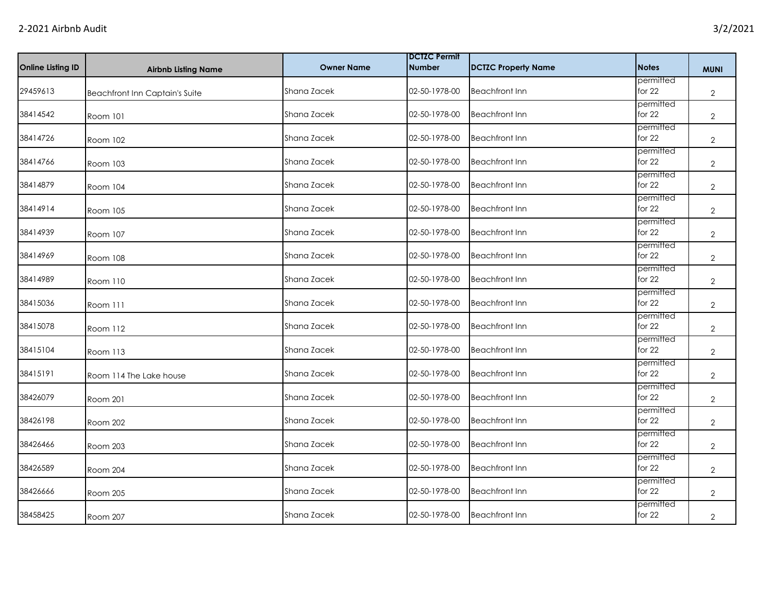| Online Listing ID | <b>Airbnb Listing Name</b>     | <b>Owner Name</b> | <b>DCTZC Permit</b><br><b>Number</b> | <b>DCTZC Property Name</b> | <b>Notes</b>          | <b>MUNI</b>    |
|-------------------|--------------------------------|-------------------|--------------------------------------|----------------------------|-----------------------|----------------|
| 29459613          | Beachfront Inn Captain's Suite | Shana Zacek       | 02-50-1978-00                        | <b>Beachfront Inn</b>      | permitted<br>for 22   | $\overline{2}$ |
| 38414542          | Room 101                       | Shana Zacek       | 02-50-1978-00                        | <b>Beachfront Inn</b>      | permitted<br>for 22   | $\overline{2}$ |
| 38414726          | Room 102                       | Shana Zacek       | 02-50-1978-00                        | <b>Beachfront Inn</b>      | permitted<br>for $22$ | $\overline{2}$ |
| 38414766          | Room 103                       | Shana Zacek       | 02-50-1978-00                        | <b>Beachfront Inn</b>      | permitted<br>for 22   | $\overline{2}$ |
| 38414879          | Room 104                       | Shana Zacek       | 02-50-1978-00                        | <b>Beachfront Inn</b>      | permitted<br>for 22   | $\overline{2}$ |
| 38414914          | Room 105                       | Shana Zacek       | 02-50-1978-00                        | <b>Beachfront Inn</b>      | permitted<br>for $22$ | $\overline{2}$ |
| 38414939          | Room 107                       | Shana Zacek       | 02-50-1978-00                        | <b>Beachfront Inn</b>      | permitted<br>for $22$ | $\overline{2}$ |
| 38414969          | <b>Room 108</b>                | Shana Zacek       | 02-50-1978-00                        | <b>Beachfront Inn</b>      | permitted<br>for 22   | $\overline{2}$ |
| 38414989          | Room 110                       | Shana Zacek       | 02-50-1978-00                        | <b>Beachfront Inn</b>      | permitted<br>for 22   | $\overline{2}$ |
| 38415036          | Room 111                       | Shana Zacek       | 02-50-1978-00                        | <b>Beachfront Inn</b>      | permitted<br>for $22$ | $\overline{2}$ |
| 38415078          | Room 112                       | Shana Zacek       | 02-50-1978-00                        | <b>Beachfront Inn</b>      | permitted<br>for $22$ | $\overline{2}$ |
| 38415104          | Room 113                       | Shana Zacek       | 02-50-1978-00                        | <b>Beachfront Inn</b>      | permitted<br>for 22   | $\overline{2}$ |
| 38415191          | Room 114 The Lake house        | Shana Zacek       | 02-50-1978-00                        | <b>Beachfront Inn</b>      | permitted<br>for 22   | $\overline{2}$ |
| 38426079          | Room 201                       | Shana Zacek       | 02-50-1978-00                        | <b>Beachfront Inn</b>      | permitted<br>for $22$ | $\overline{2}$ |
| 38426198          | Room 202                       | Shana Zacek       | 02-50-1978-00                        | <b>Beachfront Inn</b>      | permitted<br>for $22$ | $\overline{2}$ |
| 38426466          | Room 203                       | Shana Zacek       | 02-50-1978-00                        | <b>Beachfront Inn</b>      | permitted<br>for 22   | $\overline{2}$ |
| 38426589          | Room 204                       | Shana Zacek       | 02-50-1978-00                        | <b>Beachfront Inn</b>      | permitted<br>for $22$ | $\overline{2}$ |
| 38426666          | Room 205                       | Shana Zacek       | 02-50-1978-00                        | <b>Beachfront Inn</b>      | permitted<br>for $22$ | $\overline{2}$ |
| 38458425          | Room 207                       | Shana Zacek       | 02-50-1978-00                        | <b>Beachfront Inn</b>      | permitted<br>for 22   | $\overline{2}$ |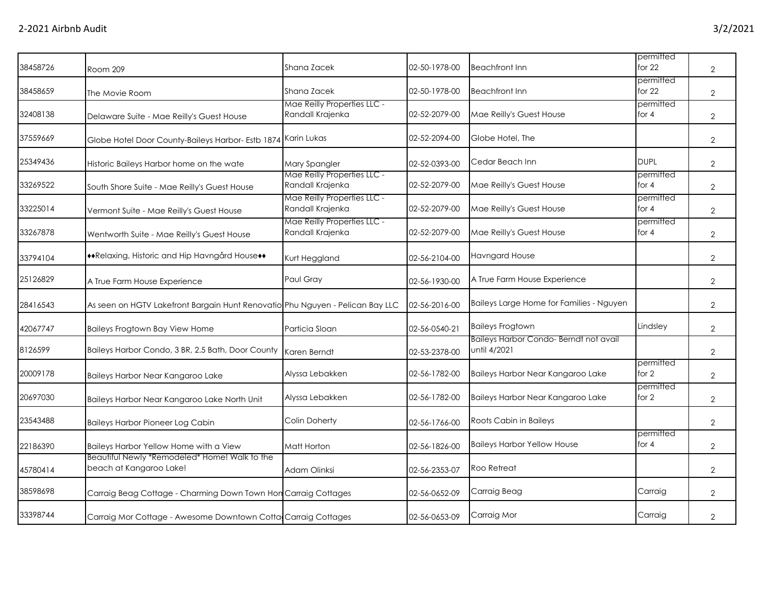| 38458726 | Room 209                                                                      | Shana Zacek                                     | 02-50-1978-00 | <b>Beachfront Inn</b>                                 | permitted<br>for $22$ | $\overline{2}$ |
|----------|-------------------------------------------------------------------------------|-------------------------------------------------|---------------|-------------------------------------------------------|-----------------------|----------------|
| 38458659 | The Movie Room                                                                | Shana Zacek                                     | 02-50-1978-00 | <b>Beachfront Inn</b>                                 | permitted<br>for $22$ | $\overline{2}$ |
| 32408138 | Delaware Suite - Mae Reilly's Guest House                                     | Mae Reilly Properties LLC -<br>Randall Krajenka | 02-52-2079-00 | Mae Reilly's Guest House                              | permitted<br>for $4$  | $\overline{2}$ |
| 37559669 | Globe Hotel Door County-Baileys Harbor- Estb 1874 Karin Lukas                 |                                                 | 02-52-2094-00 | Globe Hotel, The                                      |                       | $\overline{2}$ |
| 25349436 | Historic Baileys Harbor home on the wate                                      | Mary Spangler                                   | 02-52-0393-00 | Cedar Beach Inn                                       | <b>DUPL</b>           | $\overline{2}$ |
| 33269522 | South Shore Suite - Mae Reilly's Guest House                                  | Mae Reilly Properties LLC -<br>Randall Krajenka | 02-52-2079-00 | Mae Reilly's Guest House                              | permitted<br>for $4$  | $\overline{2}$ |
| 33225014 | Vermont Suite - Mae Reilly's Guest House                                      | Mae Reilly Properties LLC -<br>Randall Krajenka | 02-52-2079-00 | Mae Reilly's Guest House                              | permitted<br>for $4$  | $\overline{2}$ |
| 33267878 | Wentworth Suite - Mae Reilly's Guest House                                    | Mae Reilly Properties LLC -<br>Randall Krajenka | 02-52-2079-00 | Mae Reilly's Guest House                              | permitted<br>for $4$  | $\overline{2}$ |
| 33794104 | ◆ Relaxing, Historic and Hip Havngård House◆◆                                 | Kurt Heggland                                   | 02-56-2104-00 | <b>Havngard House</b>                                 |                       | $\overline{2}$ |
| 25126829 | A True Farm House Experience                                                  | Paul Gray                                       | 02-56-1930-00 | A True Farm House Experience                          |                       | $\overline{2}$ |
| 28416543 | As seen on HGTV Lakefront Bargain Hunt Renovatio Phu Nguyen - Pelican Bay LLC |                                                 | 02-56-2016-00 | Baileys Large Home for Families - Nguyen              |                       | $\overline{2}$ |
| 42067747 | Baileys Frogtown Bay View Home                                                | Particia Sloan                                  | 02-56-0540-21 | <b>Baileys Frogtown</b>                               | Lindsley              | $\overline{2}$ |
| 8126599  | Baileys Harbor Condo, 3 BR, 2.5 Bath, Door County                             | Karen Berndt                                    | 02-53-2378-00 | Baileys Harbor Condo-Berndt not avail<br>until 4/2021 |                       | $\overline{2}$ |
| 20009178 | Baileys Harbor Near Kangaroo Lake                                             | Alyssa Lebakken                                 | 02-56-1782-00 | Baileys Harbor Near Kangaroo Lake                     | permitted<br>for $2$  | $\overline{2}$ |
| 20697030 | Baileys Harbor Near Kangaroo Lake North Unit                                  | Alyssa Lebakken                                 | 02-56-1782-00 | Baileys Harbor Near Kangaroo Lake                     | permitted<br>for 2    | $\overline{2}$ |
| 23543488 | <b>Baileys Harbor Pioneer Log Cabin</b>                                       | Colin Doherty                                   | 02-56-1766-00 | Roots Cabin in Baileys                                |                       | $\overline{2}$ |
| 22186390 | Baileys Harbor Yellow Home with a View                                        | Matt Horton                                     | 02-56-1826-00 | <b>Baileys Harbor Yellow House</b>                    | permitted<br>for $4$  | $\overline{2}$ |
| 45780414 | Beautiful Newly *Remodeled* Home! Walk to the<br>beach at Kangaroo Lake!      | Adam Olinksi                                    | 02-56-2353-07 | Roo Retreat                                           |                       | $\mathbf{2}$   |
| 38598698 | Carraig Beag Cottage - Charming Down Town Hon Carraig Cottages                |                                                 | 02-56-0652-09 | Carraig Beag                                          | Carraig               | $\overline{2}$ |
| 33398744 | Carraig Mor Cottage - Awesome Downtown Cotta Carraig Cottages                 |                                                 | 02-56-0653-09 | Carraig Mor                                           | Carraig               | 2              |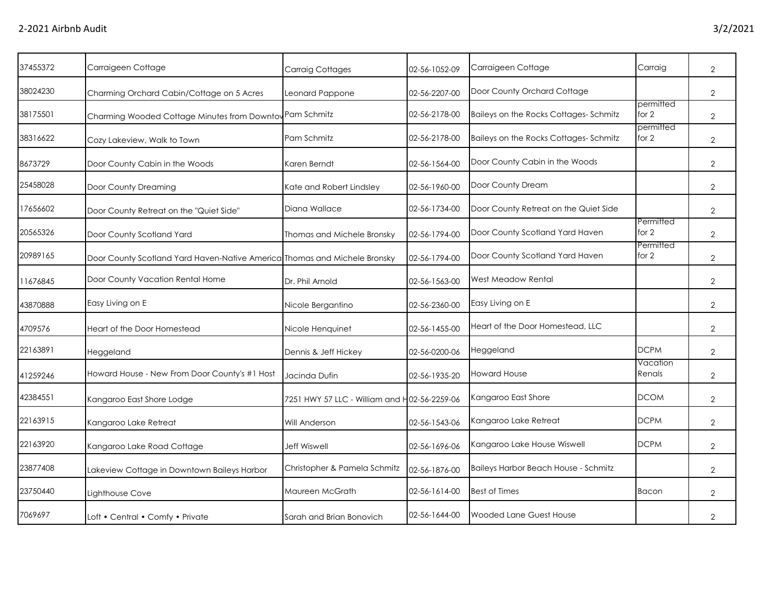| 37455372 | Carraigeen Cottage                                                        | <b>Carraig Cottages</b>                      | 02-56-1052-09 | Carraigeen Cottage                    | Carraig              | $\overline{2}$ |
|----------|---------------------------------------------------------------------------|----------------------------------------------|---------------|---------------------------------------|----------------------|----------------|
| 38024230 | Charming Orchard Cabin/Cottage on 5 Acres                                 | Leonard Pappone                              | 02-56-2207-00 | Door County Orchard Cottage           |                      | $\overline{2}$ |
| 38175501 | Charming Wooded Cottage Minutes from Downtow Pam Schmitz                  |                                              | 02-56-2178-00 | Baileys on the Rocks Cottages-Schmitz | permitted<br>for 2   | $\overline{2}$ |
| 38316622 | Cozy Lakeview, Walk to Town                                               | Pam Schmitz                                  | 02-56-2178-00 | Baileys on the Rocks Cottages-Schmitz | permitted<br>for $2$ | $\overline{2}$ |
| 8673729  | Door County Cabin in the Woods                                            | Karen Berndt                                 | 02-56-1564-00 | Door County Cabin in the Woods        |                      | $\overline{2}$ |
| 25458028 | Door County Dreaming                                                      | Kate and Robert Lindsley                     | 02-56-1960-00 | Door County Dream                     |                      | $\overline{2}$ |
| 17656602 | Door County Retreat on the "Quiet Side"                                   | Diana Wallace                                | 02-56-1734-00 | Door County Retreat on the Quiet Side |                      | $\overline{2}$ |
| 20565326 | Door County Scotland Yard                                                 | Thomas and Michele Bronsky                   | 02-56-1794-00 | Door County Scotland Yard Haven       | Permitted<br>for 2   | $\overline{2}$ |
| 20989165 | Door County Scotland Yard Haven-Native America Thomas and Michele Bronsky |                                              | 02-56-1794-00 | Door County Scotland Yard Haven       | Permitted<br>for 2   | $\overline{2}$ |
| 11676845 | Door County Vacation Rental Home                                          | Dr. Phil Arnold                              | 02-56-1563-00 | West Meadow Rental                    |                      | $\overline{2}$ |
| 43870888 | Easy Living on E                                                          | Nicole Bergantino                            | 02-56-2360-00 | Easy Living on E                      |                      | $\overline{2}$ |
| 4709576  | Heart of the Door Homestead                                               | Nicole Henquinet                             | 02-56-1455-00 | Heart of the Door Homestead, LLC      |                      | $\overline{2}$ |
| 22163891 | Heggeland                                                                 | Dennis & Jeff Hickey                         | 02-56-0200-06 | Heggeland                             | <b>DCPM</b>          | $\overline{2}$ |
| 41259246 | Howard House - New From Door County's #1 Host                             | Jacinda Dufin                                | 02-56-1935-20 | <b>Howard House</b>                   | Vacation<br>Renals   | $\overline{2}$ |
| 42384551 | Kangaroo East Shore Lodge                                                 | 7251 HWY 57 LLC - William and H02-56-2259-06 |               | Kangaroo East Shore                   | <b>DCOM</b>          | $\overline{2}$ |
| 22163915 | Kangaroo Lake Retreat                                                     | Will Anderson                                | 02-56-1543-06 | Kangaroo Lake Retreat                 | <b>DCPM</b>          | $\overline{2}$ |
| 22163920 | Kangaroo Lake Road Cottage                                                | <b>Jeff Wiswell</b>                          | 02-56-1696-06 | Kangaroo Lake House Wiswell           | <b>DCPM</b>          | $\overline{2}$ |
| 23877408 | Lakeview Cottage in Downtown Baileys Harbor                               | Christopher & Pamela Schmitz                 | 02-56-1876-00 | Baileys Harbor Beach House - Schmitz  |                      | $\overline{2}$ |
| 23750440 | Lighthouse Cove                                                           | Maureen McGrath                              | 02-56-1614-00 | <b>Best of Times</b>                  | Bacon                | $\overline{2}$ |
| 7069697  | Loft • Central • Comfy • Private                                          | Sarah and Brian Bonovich                     | 02-56-1644-00 | Wooded Lane Guest House               |                      | $\overline{2}$ |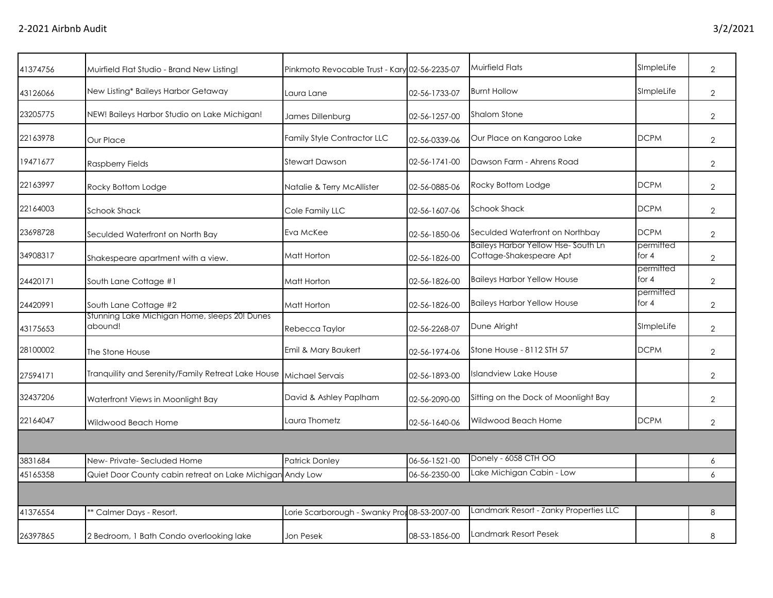| 41374756 | Muirfield Flat Studio - Brand New Listing!                | Pinkmoto Revocable Trust - Kary 02-56-2235-07 |               | Muirfield Flats                                               | SImpleLife           | $\overline{2}$ |
|----------|-----------------------------------------------------------|-----------------------------------------------|---------------|---------------------------------------------------------------|----------------------|----------------|
| 43126066 | New Listing* Baileys Harbor Getaway                       | Laura Lane                                    | 02-56-1733-07 | <b>Burnt Hollow</b>                                           | SImpleLife           | $\overline{2}$ |
| 23205775 | NEW! Baileys Harbor Studio on Lake Michigan!              | James Dillenburg                              | 02-56-1257-00 | Shalom Stone                                                  |                      | $\overline{2}$ |
| 22163978 | Our Place                                                 | <b>Family Style Contractor LLC</b>            | 02-56-0339-06 | Our Place on Kangaroo Lake                                    | <b>DCPM</b>          | $\overline{2}$ |
| 19471677 | Raspberry Fields                                          | <b>Stewart Dawson</b>                         | 02-56-1741-00 | Dawson Farm - Ahrens Road                                     |                      | $\overline{2}$ |
| 22163997 | Rocky Bottom Lodge                                        | Natalie & Terry McAllister                    | 02-56-0885-06 | Rocky Bottom Lodge                                            | <b>DCPM</b>          | $\overline{2}$ |
| 22164003 | <b>Schook Shack</b>                                       | Cole Family LLC                               | 02-56-1607-06 | <b>Schook Shack</b>                                           | <b>DCPM</b>          | $\overline{2}$ |
| 23698728 | Seculded Waterfront on North Bay                          | Eva McKee                                     | 02-56-1850-06 | Seculded Waterfront on Northbay                               | <b>DCPM</b>          | $\overline{2}$ |
| 34908317 | Shakespeare apartment with a view.                        | Matt Horton                                   | 02-56-1826-00 | Baileys Harbor Yellow Hse-South Ln<br>Cottage-Shakespeare Apt | permitted<br>for $4$ | $\overline{2}$ |
| 24420171 | South Lane Cottage #1                                     | Matt Horton                                   | 02-56-1826-00 | <b>Baileys Harbor Yellow House</b>                            | permitted<br>for $4$ | $\overline{2}$ |
| 24420991 | South Lane Cottage #2                                     | Matt Horton                                   | 02-56-1826-00 | <b>Baileys Harbor Yellow House</b>                            | permitted<br>for $4$ | $\overline{2}$ |
| 43175653 | Stunning Lake Michigan Home, sleeps 20! Dunes<br>abound!  | Rebecca Taylor                                | 02-56-2268-07 | Dune Alright                                                  | SImpleLife           | $\overline{2}$ |
| 28100002 | The Stone House                                           | Emil & Mary Baukert                           | 02-56-1974-06 | Stone House - 8112 STH 57                                     | <b>DCPM</b>          | $\overline{2}$ |
| 27594171 | Tranquility and Serenity/Family Retreat Lake House        | Michael Servais                               | 02-56-1893-00 | Islandview Lake House                                         |                      | $\overline{2}$ |
| 32437206 | Waterfront Views in Moonlight Bay                         | David & Ashley Paplham                        | 02-56-2090-00 | Sitting on the Dock of Moonlight Bay                          |                      | $\overline{2}$ |
| 22164047 | Wildwood Beach Home                                       | Laura Thometz                                 | 02-56-1640-06 | Wildwood Beach Home                                           | <b>DCPM</b>          | $\overline{2}$ |
|          |                                                           |                                               |               |                                                               |                      |                |
| 3831684  | New-Private-Secluded Home                                 | <b>Patrick Donley</b>                         | 06-56-1521-00 | Donely - 6058 CTH OO                                          |                      | 6              |
| 45165358 | Quiet Door County cabin retreat on Lake Michigan Andy Low |                                               | 06-56-2350-00 | Lake Michigan Cabin - Low                                     |                      | 6              |
|          |                                                           |                                               |               |                                                               |                      |                |
| 41376554 | ** Calmer Days - Resort.                                  | Lorie Scarborough - Swanky Pro                | 08-53-2007-00 | Landmark Resort - Zanky Properties LLC                        |                      | 8              |
| 26397865 | 2 Bedroom, 1 Bath Condo overlooking lake                  | Jon Pesek                                     | 08-53-1856-00 | Landmark Resort Pesek                                         |                      | 8              |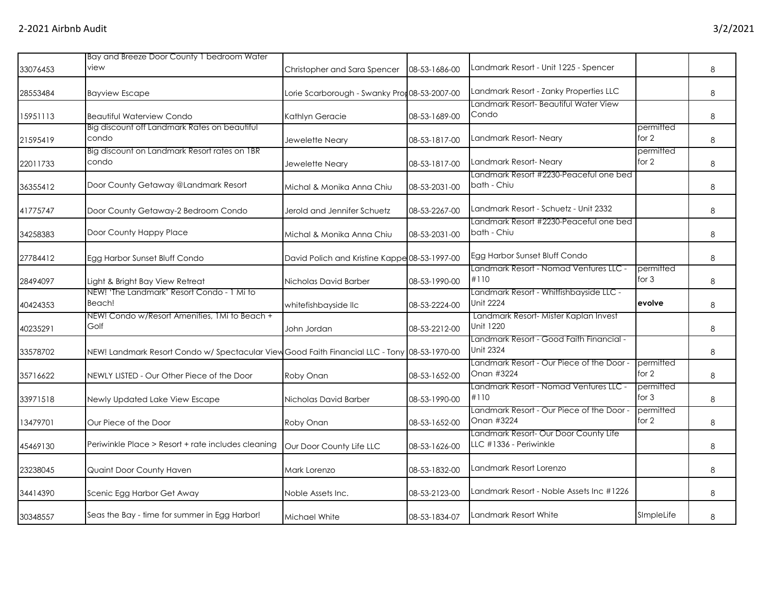|          | Bay and Breeze Door County 1 bedroom Water                                                   |                                               |               |                                                                 |                      |   |
|----------|----------------------------------------------------------------------------------------------|-----------------------------------------------|---------------|-----------------------------------------------------------------|----------------------|---|
| 33076453 | view                                                                                         | Christopher and Sara Spencer                  | 08-53-1686-00 | Landmark Resort - Unit 1225 - Spencer                           |                      | 8 |
| 28553484 | <b>Bayview Escape</b>                                                                        | Lorie Scarborough - Swanky Pror 08-53-2007-00 |               | Landmark Resort - Zanky Properties LLC                          |                      | 8 |
| 15951113 | <b>Beautiful Waterview Condo</b>                                                             | Kathlyn Geracie                               | 08-53-1689-00 | Landmark Resort- Beautiful Water View<br>Condo                  |                      | 8 |
| 21595419 | Big discount off Landmark Rates on beautiful<br>condo                                        | Jewelette Neary                               | 08-53-1817-00 | Landmark Resort- Neary                                          | permitted<br>for $2$ | 8 |
| 22011733 | Big discount on Landmark Resort rates on 1BR<br>condo                                        | Jewelette Neary                               | 08-53-1817-00 | Landmark Resort- Neary                                          | permitted<br>for 2   | 8 |
| 36355412 | Door County Getaway @Landmark Resort                                                         | Michal & Monika Anna Chiu                     | 08-53-2031-00 | Landmark Resort #2230-Peaceful one bed<br>bath - Chiu           |                      | 8 |
| 41775747 | Door County Getaway-2 Bedroom Condo                                                          | Jerold and Jennifer Schuetz                   | 08-53-2267-00 | Landmark Resort - Schuetz - Unit 2332                           |                      | 8 |
| 34258383 | Door County Happy Place                                                                      | Michal & Monika Anna Chiu                     | 08-53-2031-00 | Landmark Resort #2230-Peaceful one bed<br>bath - Chiu           |                      | 8 |
| 27784412 | Egg Harbor Sunset Bluff Condo                                                                | David Polich and Kristine Kappe 08-53-1997-00 |               | Egg Harbor Sunset Bluff Condo                                   |                      | 8 |
| 28494097 | Light & Bright Bay View Retreat                                                              | Nicholas David Barber                         | 08-53-1990-00 | Landmark Resort - Nomad Ventures LLC -<br>#110                  | permitted<br>for $3$ | 8 |
| 40424353 | NEW! 'The Landmark' Resort Condo - 1 Mi to<br>Beach!                                         | whitefishbayside llc                          | 08-53-2224-00 | Landmark Resort - Whitfishbayside LLC -<br>Unit 2224            | evolve               | 8 |
| 40235291 | NEW! Condo w/Resort Amenities, 1Mi to Beach +<br>Golf                                        | John Jordan                                   | 08-53-2212-00 | Landmark Resort-Mister Kaplan Invest<br>Unit 1220               |                      | 8 |
| 33578702 | NEW! Landmark Resort Condo w/ Spectacular View Good Faith Financial LLC - Tony 08-53-1970-00 |                                               |               | - Landmark Resort - Good Faith Financial<br>Unit 2324           |                      | 8 |
| 35716622 | NEWLY LISTED - Our Other Piece of the Door                                                   | Roby Onan                                     | 08-53-1652-00 | Landmark Resort - Our Piece of the Door -<br>Onan #3224         | permitted<br>for $2$ | 8 |
| 33971518 | Newly Updated Lake View Escape                                                               | Nicholas David Barber                         | 08-53-1990-00 | Landmark Resort - Nomad Ventures LLC -<br>#110                  | permitted<br>for $3$ | 8 |
| 13479701 | Our Piece of the Door                                                                        | Roby Onan                                     | 08-53-1652-00 | Landmark Resort - Our Piece of the Door<br>Onan #3224           | permitted<br>for 2   | 8 |
| 45469130 | Periwinkle Place > Resort + rate includes cleaning                                           | Our Door County Life LLC                      | 08-53-1626-00 | Landmark Resort- Our Door County Life<br>LLC #1336 - Periwinkle |                      | 8 |
| 23238045 | Quaint Door County Haven                                                                     | Mark Lorenzo                                  | 08-53-1832-00 | Landmark Resort Lorenzo                                         |                      | 8 |
| 34414390 | Scenic Egg Harbor Get Away                                                                   | Noble Assets Inc.                             | 08-53-2123-00 | Landmark Resort - Noble Assets Inc #1226                        |                      | 8 |
| 30348557 | Seas the Bay - time for summer in Egg Harbor!                                                | Michael White                                 | 08-53-1834-07 | Landmark Resort White                                           | SimpleLife           | 8 |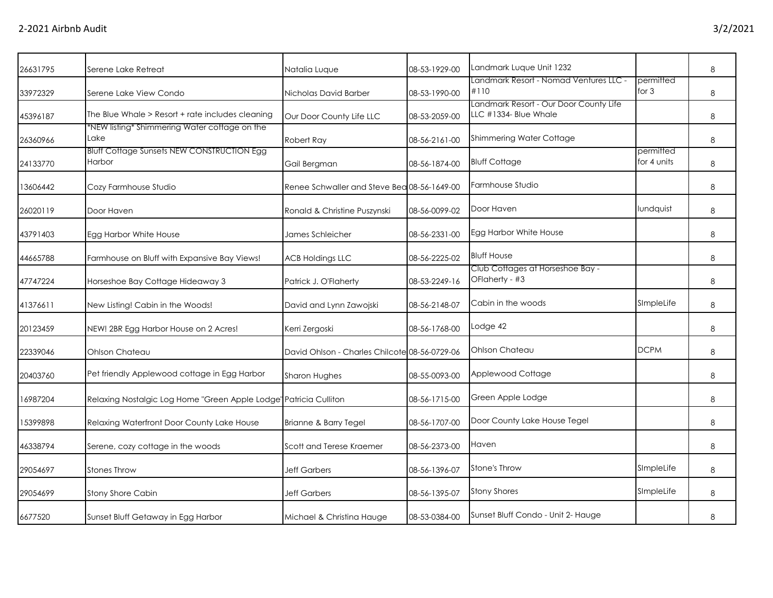| 26631795 | Serene Lake Retreat                                               | Natalia Luque                                 | 08-53-1929-00 | Landmark Luque Unit 1232                                        |                          | 8 |
|----------|-------------------------------------------------------------------|-----------------------------------------------|---------------|-----------------------------------------------------------------|--------------------------|---|
| 33972329 | Serene Lake View Condo                                            | Nicholas David Barber                         | 08-53-1990-00 | - Landmark Resort - Nomad Ventures LLC<br>#110                  | permitted<br>for $3$     | 8 |
| 45396187 | The Blue Whale > Resort + rate includes cleaning                  | Our Door County Life LLC                      | 08-53-2059-00 | Landmark Resort - Our Door County Life<br>LLC #1334- Blue Whale |                          | 8 |
| 26360966 | *NEW listing* Shimmering Water cottage on the<br>Lake             | Robert Ray                                    | 08-56-2161-00 | Shimmering Water Cottage                                        |                          | 8 |
| 24133770 | <b>Bluff Cottage Sunsets NEW CONSTRUCTION Egg</b><br>Harbor       | Gail Bergman                                  | 08-56-1874-00 | <b>Bluff Cottage</b>                                            | permitted<br>for 4 units | 8 |
| 13606442 | Cozy Farmhouse Studio                                             | Renee Schwaller and Steve Bea 08-56-1649-00   |               | Farmhouse Studio                                                |                          | 8 |
| 26020119 | Door Haven                                                        | Ronald & Christine Puszynski                  | 08-56-0099-02 | Door Haven                                                      | lundquist                | 8 |
| 43791403 | Egg Harbor White House                                            | James Schleicher                              | 08-56-2331-00 | Egg Harbor White House                                          |                          | 8 |
| 44665788 | Farmhouse on Bluff with Expansive Bay Views!                      | <b>ACB Holdings LLC</b>                       | 08-56-2225-02 | <b>Bluff House</b>                                              |                          | 8 |
| 47747224 | Horseshoe Bay Cottage Hideaway 3                                  | Patrick J. O'Flaherty                         | 08-53-2249-16 | Club Cottages at Horseshoe Bay -<br>OFlaherty - #3              |                          | 8 |
| 41376611 | New Listing! Cabin in the Woods!                                  | David and Lynn Zawojski                       | 08-56-2148-07 | Cabin in the woods                                              | SImpleLife               | 8 |
| 20123459 | NEW! 2BR Egg Harbor House on 2 Acres!                             | Kerri Zergoski                                | 08-56-1768-00 | Lodge 42                                                        |                          | 8 |
| 22339046 | Ohlson Chateau                                                    | David Ohlson - Charles Chilcote 08-56-0729-06 |               | Ohlson Chateau                                                  | <b>DCPM</b>              | 8 |
| 20403760 | Pet friendly Applewood cottage in Egg Harbor                      | Sharon Hughes                                 | 08-55-0093-00 | Applewood Cottage                                               |                          | 8 |
| 16987204 | Relaxing Nostalgic Log Home "Green Apple Lodge" Patricia Culliton |                                               | 08-56-1715-00 | Green Apple Lodge                                               |                          | 8 |
| 15399898 | Relaxing Waterfront Door County Lake House                        | Brianne & Barry Tegel                         | 08-56-1707-00 | Door County Lake House Tegel                                    |                          | 8 |
| 46338794 | Serene, cozy cottage in the woods                                 | Scott and Terese Kraemer                      | 08-56-2373-00 | Haven                                                           |                          | 8 |
| 29054697 | <b>Stones Throw</b>                                               | <b>Jeff Garbers</b>                           | 08-56-1396-07 | <b>Stone's Throw</b>                                            | SImpleLife               | 8 |
| 29054699 | Stony Shore Cabin                                                 | <b>Jeff Garbers</b>                           | 08-56-1395-07 | <b>Stony Shores</b>                                             | SImpleLife               | 8 |
| 6677520  | Sunset Bluff Getaway in Egg Harbor                                | Michael & Christina Hauge                     | 08-53-0384-00 | Sunset Bluff Condo - Unit 2- Hauge                              |                          | 8 |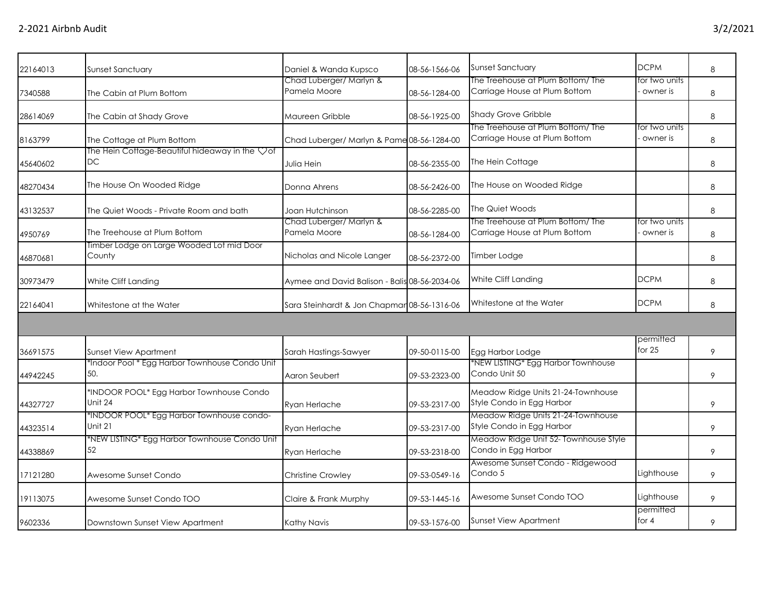| 22164013 | Sunset Sanctuary                                     | Daniel & Wanda Kupsco                         | 08-56-1566-06 | Sunset Sanctuary                                                  | <b>DCPM</b>               | 8 |
|----------|------------------------------------------------------|-----------------------------------------------|---------------|-------------------------------------------------------------------|---------------------------|---|
|          |                                                      | Chad Luberger/ Marlyn &                       |               | The Treehouse at Plum Bottom/ The                                 | for two units             |   |
| 7340588  | The Cabin at Plum Bottom                             | Pamela Moore                                  | 08-56-1284-00 | Carriage House at Plum Bottom                                     | owner is                  | 8 |
| 28614069 | The Cabin at Shady Grove                             | Maureen Gribble                               | 08-56-1925-00 | <b>Shady Grove Gribble</b>                                        |                           | 8 |
|          |                                                      |                                               |               | The Treehouse at Plum Bottom/The                                  | for two units             |   |
| 8163799  | The Cottage at Plum Bottom                           | Chad Luberger/ Marlyn & Pame 08-56-1284-00    |               | Carriage House at Plum Bottom                                     | owner is                  | 8 |
| 45640602 | The Hein Cottage-Beautiful hideaway in the Vof<br>DC | Julia Hein                                    | 08-56-2355-00 | The Hein Cottage                                                  |                           | 8 |
| 48270434 | The House On Wooded Ridge                            | Donna Ahrens                                  | 08-56-2426-00 | The House on Wooded Ridge                                         |                           | 8 |
| 43132537 | The Quiet Woods - Private Room and bath              | Joan Hutchinson                               | 08-56-2285-00 | The Quiet Woods                                                   |                           | 8 |
| 4950769  | The Treehouse at Plum Bottom                         | Chad Luberger/ Marlyn &<br>Pamela Moore       | 08-56-1284-00 | The Treehouse at Plum Bottom/The<br>Carriage House at Plum Bottom | for two units<br>owner is | 8 |
| 46870681 | Timber Lodge on Large Wooded Lot mid Door<br>County  | Nicholas and Nicole Langer                    | 08-56-2372-00 | Timber Lodge                                                      |                           | 8 |
| 30973479 | White Cliff Landing                                  | Aymee and David Balison - Balis 08-56-2034-06 |               | White Cliff Landing                                               | <b>DCPM</b>               | 8 |
| 22164041 | Whitestone at the Water                              | Sara Steinhardt & Jon Chapmar 08-56-1316-06   |               | Whitestone at the Water                                           | <b>DCPM</b>               | 8 |
|          |                                                      |                                               |               |                                                                   |                           |   |
|          |                                                      |                                               |               |                                                                   | permitted                 |   |
| 36691575 | Sunset View Apartment                                | Sarah Hastings-Sawyer                         | 09-50-0115-00 | Egg Harbor Lodge                                                  | for 25                    | 9 |
|          | *Indoor Pool * Egg Harbor Townhouse Condo Unit       |                                               |               | *NEW LISTING* Egg Harbor Townhouse                                |                           |   |
| 44942245 | 50.                                                  | Aaron Seubert                                 | 09-53-2323-00 | Condo Unit 50                                                     |                           | 9 |
|          | *INDOOR POOL* Egg Harbor Townhouse Condo             |                                               |               | Meadow Ridge Units 21-24-Townhouse                                |                           |   |
| 44327727 | Unit 24                                              | Ryan Herlache                                 | 09-53-2317-00 | Style Condo in Egg Harbor                                         |                           | 9 |
|          | *INDOOR POOL* Egg Harbor Townhouse condo-            |                                               |               | Meadow Ridge Units 21-24-Townhouse                                |                           |   |
| 44323514 | Unit 21                                              | Ryan Herlache                                 | 09-53-2317-00 | Style Condo in Egg Harbor                                         |                           | 9 |
| 44338869 | *NEW LISTING* Egg Harbor Townhouse Condo Unit<br>52  | Ryan Herlache                                 | 09-53-2318-00 | Meadow Ridge Unit 52- Townhouse Style<br>Condo in Egg Harbor      |                           | 9 |
|          |                                                      |                                               |               | Awesome Sunset Condo - Ridgewood                                  |                           |   |
| 17121280 | Awesome Sunset Condo                                 | <b>Christine Crowley</b>                      | 09-53-0549-16 | Condo 5                                                           | Lighthouse                | 9 |
| 19113075 | Awesome Sunset Condo TOO                             | Claire & Frank Murphy                         | 09-53-1445-16 | Awesome Sunset Condo TOO                                          | Lighthouse                | 9 |
| 9602336  | Downstown Sunset View Apartment                      | Kathy Navis                                   | 09-53-1576-00 | Sunset View Apartment                                             | permitted<br>for $4$      | 9 |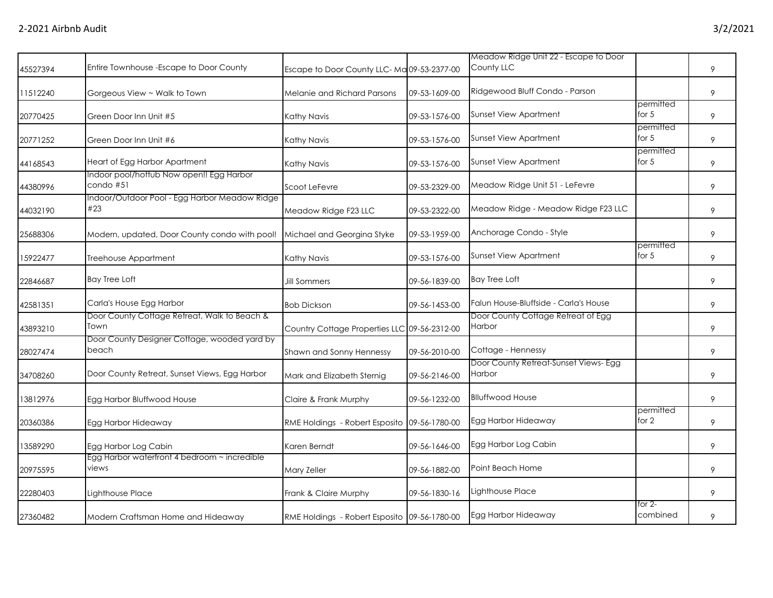| 45527394 | Entire Townhouse - Escape to Door County              | Escape to Door County LLC-Ma 09-53-2377-00   |               | Meadow Ridge Unit 22 - Escape to Door<br>County LLC |                      | 9 |
|----------|-------------------------------------------------------|----------------------------------------------|---------------|-----------------------------------------------------|----------------------|---|
| 11512240 | Gorgeous View ~ Walk to Town                          | Melanie and Richard Parsons                  | 09-53-1609-00 | Ridgewood Bluff Condo - Parson                      |                      | 9 |
| 20770425 | Green Door Inn Unit #5                                | Kathy Navis                                  | 09-53-1576-00 | <b>Sunset View Apartment</b>                        | permitted<br>for $5$ | 9 |
| 20771252 | Green Door Inn Unit #6                                | Kathy Navis                                  | 09-53-1576-00 | Sunset View Apartment                               | permitted<br>for $5$ | 9 |
| 44168543 | Heart of Egg Harbor Apartment                         | Kathy Navis                                  | 09-53-1576-00 | <b>Sunset View Apartment</b>                        | permitted<br>for $5$ | 9 |
| 44380996 | Indoor pool/hottub Now open!! Egg Harbor<br>condo #51 | Scoot LeFevre                                | 09-53-2329-00 | Meadow Ridge Unit 51 - LeFevre                      |                      | 9 |
| 44032190 | Indoor/Outdoor Pool - Egg Harbor Meadow Ridge<br>#23  | Meadow Ridge F23 LLC                         | 09-53-2322-00 | Meadow Ridge - Meadow Ridge F23 LLC                 |                      | 9 |
| 25688306 | Modern, updated, Door County condo with pool!         | Michael and Georgina Styke                   | 09-53-1959-00 | Anchorage Condo - Style                             |                      | 9 |
| 15922477 | Treehouse Appartment                                  | Kathy Navis                                  | 09-53-1576-00 | <b>Sunset View Apartment</b>                        | permitted<br>for 5   | 9 |
| 22846687 | <b>Bay Tree Loft</b>                                  | <b>Jill Sommers</b>                          | 09-56-1839-00 | <b>Bay Tree Loft</b>                                |                      | 9 |
| 42581351 | Carla's House Egg Harbor                              | <b>Bob Dickson</b>                           | 09-56-1453-00 | Falun House-Bluffside - Carla's House               |                      | 9 |
| 43893210 | Door County Cottage Retreat, Walk to Beach &<br>Town  | Country Cottage Properties LLC 09-56-2312-00 |               | Door County Cottage Retreat of Egg<br>Harbor        |                      | 9 |
| 28027474 | Door County Designer Cottage, wooded yard by<br>beach | Shawn and Sonny Hennessy                     | 09-56-2010-00 | Cottage - Hennessy                                  |                      | 9 |
| 34708260 | Door County Retreat, Sunset Views, Egg Harbor         | Mark and Elizabeth Sternig                   | 09-56-2146-00 | Door County Retreat-Sunset Views- Egg<br>Harbor     |                      | 9 |
| 13812976 | Egg Harbor Bluffwood House                            | Claire & Frank Murphy                        | 09-56-1232-00 | <b>Blluffwood House</b>                             |                      | 9 |
| 20360386 | Egg Harbor Hideaway                                   | RME Holdings - Robert Esposito               | 09-56-1780-00 | Egg Harbor Hideaway                                 | permitted<br>for $2$ | 9 |
| 13589290 | Egg Harbor Log Cabin                                  | Karen Berndt                                 | 09-56-1646-00 | Egg Harbor Log Cabin                                |                      | 9 |
| 20975595 | Egg Harbor waterfront 4 bedroom ~ incredible<br>views | Mary Zeller                                  | 09-56-1882-00 | Point Beach Home                                    |                      | 9 |
| 22280403 | Lighthouse Place                                      | Frank & Claire Murphy                        | 09-56-1830-16 | Lighthouse Place                                    |                      | 9 |
| 27360482 | Modern Craftsman Home and Hideaway                    | RME Holdings - Robert Esposito 09-56-1780-00 |               | Egg Harbor Hideaway                                 | for $2-$<br>combined | 9 |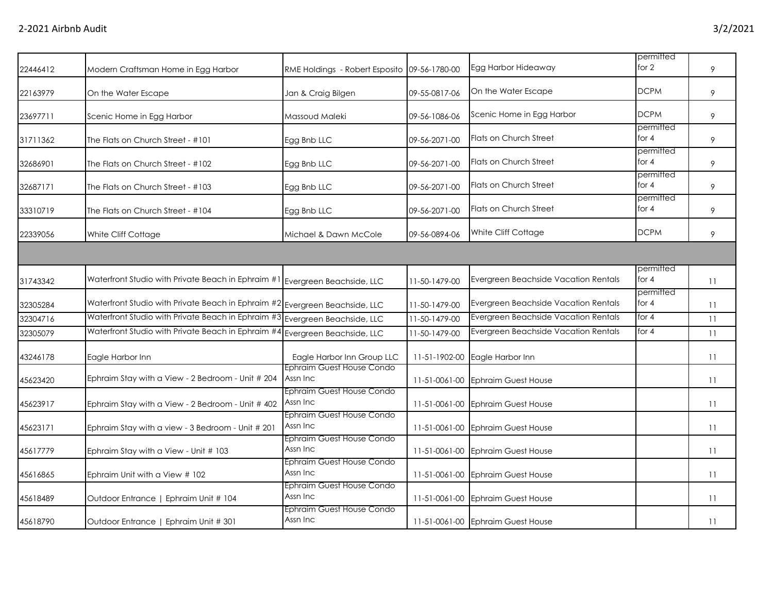| 22446412 | Modern Craftsman Home in Egg Harbor                                            | RME Holdings - Robert Esposito 09-56-1780-00 |               | Egg Harbor Hideaway                  | permitted<br>for 2   | 9  |
|----------|--------------------------------------------------------------------------------|----------------------------------------------|---------------|--------------------------------------|----------------------|----|
| 22163979 | On the Water Escape                                                            | Jan & Craig Bilgen                           | 09-55-0817-06 | On the Water Escape                  | <b>DCPM</b>          | 9  |
| 23697711 | Scenic Home in Egg Harbor                                                      | Massoud Maleki                               | 09-56-1086-06 | Scenic Home in Egg Harbor            | <b>DCPM</b>          | 9  |
| 31711362 | The Flats on Church Street - #101                                              | Egg Bnb LLC                                  | 09-56-2071-00 | <b>Flats on Church Street</b>        | permitted<br>for $4$ | 9  |
| 32686901 | The Flats on Church Street - #102                                              | Egg Bnb LLC                                  | 09-56-2071-00 | <b>Flats on Church Street</b>        | permitted<br>for $4$ | 9  |
| 32687171 | The Flats on Church Street - #103                                              | Egg Bnb LLC                                  | 09-56-2071-00 | Flats on Church Street               | permitted<br>for $4$ | 9  |
| 33310719 | The Flats on Church Street - #104                                              | Egg Bnb LLC                                  | 09-56-2071-00 | Flats on Church Street               | permitted<br>for $4$ | 9  |
| 22339056 | White Cliff Cottage                                                            | Michael & Dawn McCole                        | 09-56-0894-06 | White Cliff Cottage                  | <b>DCPM</b>          | 9  |
|          |                                                                                |                                              |               |                                      |                      |    |
| 31743342 | Waterfront Studio with Private Beach in Ephraim #1 Evergreen Beachside, LLC    |                                              | 11-50-1479-00 | Evergreen Beachside Vacation Rentals | permitted<br>for $4$ | 11 |
| 32305284 | Waterfront Studio with Private Beach in Ephraim $\#2$ Evergreen Beachside, LLC |                                              | 11-50-1479-00 | Evergreen Beachside Vacation Rentals | permitted<br>for $4$ | 11 |
| 32304716 | Waterfront Studio with Private Beach in Ephraim #3                             | Evergreen Beachside, LLC                     | 11-50-1479-00 | Evergreen Beachside Vacation Rentals | for $4$              | 11 |
| 32305079 | Waterfront Studio with Private Beach in Ephraim #4                             | Evergreen Beachside, LLC                     | 11-50-1479-00 | Evergreen Beachside Vacation Rentals | for $4$              | 11 |
| 43246178 | Eagle Harbor Inn                                                               | Eagle Harbor Inn Group LLC                   | 11-51-1902-00 | Eagle Harbor Inn                     |                      | 11 |
| 45623420 | Ephraim Stay with a View - 2 Bedroom - Unit # 204                              | Ephraim Guest House Condo<br>Assn Inc        | 11-51-0061-00 | <b>Ephraim Guest House</b>           |                      | 11 |
| 45623917 | Ephraim Stay with a View - 2 Bedroom - Unit # 402                              | Ephraim Guest House Condo<br>Assn Inc        | 11-51-0061-00 | <b>Ephraim Guest House</b>           |                      | 11 |
| 45623171 | Ephraim Stay with a view - 3 Bedroom - Unit # 201                              | Ephraim Guest House Condo<br>Assn Inc        | 11-51-0061-00 | <b>Ephraim Guest House</b>           |                      | 11 |
| 45617779 | Ephraim Stay with a View - Unit # 103                                          | <b>Ephraim Guest House Condo</b><br>Assn Inc | 11-51-0061-00 | <b>Ephraim Guest House</b>           |                      | 11 |
| 45616865 | Ephraim Unit with a View # 102                                                 | Ephraim Guest House Condo<br>Assn Inc        | 11-51-0061-00 | <b>Ephraim Guest House</b>           |                      | 11 |
| 45618489 | Outdoor Entrance   Ephraim Unit # 104                                          | Ephraim Guest House Condo<br>Assn Inc        | 11-51-0061-00 | <b>Ephraim Guest House</b>           |                      | 11 |
| 45618790 | Outdoor Entrance   Ephraim Unit # 301                                          | Ephraim Guest House Condo<br>Assn Inc        |               | 11-51-0061-00 Ephraim Guest House    |                      | 11 |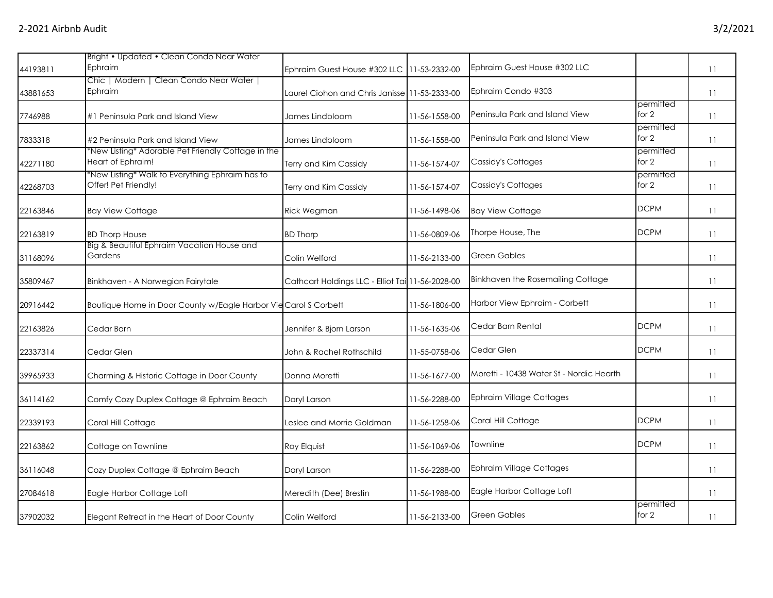|          | Bright • Updated • Clean Condo Near Water                               |                                                  |               |                                          |                      |    |
|----------|-------------------------------------------------------------------------|--------------------------------------------------|---------------|------------------------------------------|----------------------|----|
| 44193811 | Ephraim                                                                 | Ephraim Guest House #302 LLC 11-53-2332-00       |               | Ephraim Guest House #302 LLC             |                      | 11 |
| 43881653 | Chic   Modern   Clean Condo Near Water  <br>Ephraim                     | Laurel Ciohon and Chris Janisse 11-53-2333-00    |               | Ephraim Condo #303                       |                      | 11 |
| 7746988  | #1 Peninsula Park and Island View                                       | James Lindbloom                                  | 11-56-1558-00 | Peninsula Park and Island View           | permitted<br>for $2$ | 11 |
| 7833318  | #2 Peninsula Park and Island View                                       | James Lindbloom                                  | 11-56-1558-00 | Peninsula Park and Island View           | permitted<br>for $2$ | 11 |
| 42271180 | *New Listing* Adorable Pet Friendly Cottage in the<br>Heart of Ephraim! | Terry and Kim Cassidy                            | 11-56-1574-07 | Cassidy's Cottages                       | permitted<br>for $2$ | 11 |
| 42268703 | *New Listing* Walk to Everything Ephraim has to<br>Offer! Pet Friendly! | Terry and Kim Cassidy                            | 11-56-1574-07 | Cassidy's Cottages                       | permitted<br>for 2   | 11 |
| 22163846 | <b>Bay View Cottage</b>                                                 | Rick Wegman                                      | 11-56-1498-06 | <b>Bay View Cottage</b>                  | <b>DCPM</b>          | 11 |
| 22163819 | <b>BD Thorp House</b>                                                   | <b>BD Thorp</b>                                  | 11-56-0809-06 | Thorpe House, The                        | <b>DCPM</b>          | 11 |
| 31168096 | Big & Beautiful Ephraim Vacation House and<br>Gardens                   | Colin Welford                                    | 11-56-2133-00 | Green Gables                             |                      | 11 |
| 35809467 | Binkhaven - A Norwegian Fairytale                                       | Cathcart Holdings LLC - Elliot Tai 11-56-2028-00 |               | Binkhaven the Rosemailing Cottage        |                      | 11 |
| 20916442 | Boutique Home in Door County w/Eagle Harbor Vie Carol S Corbett         |                                                  | 11-56-1806-00 | Harbor View Ephraim - Corbett            |                      | 11 |
| 22163826 | Cedar Barn                                                              | Jennifer & Bjorn Larson                          | 11-56-1635-06 | Cedar Barn Rental                        | <b>DCPM</b>          | 11 |
| 22337314 | Cedar Glen                                                              | John & Rachel Rothschild                         | 11-55-0758-06 | Cedar Glen                               | <b>DCPM</b>          | 11 |
| 39965933 | Charming & Historic Cottage in Door County                              | Donna Moretti                                    | 11-56-1677-00 | Moretti - 10438 Water St - Nordic Hearth |                      | 11 |
| 36114162 | Comfy Cozy Duplex Cottage @ Ephraim Beach                               | Daryl Larson                                     | 11-56-2288-00 | <b>Ephraim Village Cottages</b>          |                      | 11 |
| 22339193 | Coral Hill Cottage                                                      | Leslee and Morrie Goldman                        | 11-56-1258-06 | Coral Hill Cottage                       | <b>DCPM</b>          | 11 |
| 22163862 | Cottage on Townline                                                     | Roy Elquist                                      | 11-56-1069-06 | Townline                                 | <b>DCPM</b>          | 11 |
| 36116048 | Cozy Duplex Cottage @ Ephraim Beach                                     | Daryl Larson                                     | 11-56-2288-00 | <b>Ephraim Village Cottages</b>          |                      | 11 |
| 27084618 | Eagle Harbor Cottage Loft                                               | Meredith (Dee) Brestin                           | 11-56-1988-00 | Eagle Harbor Cottage Loft                |                      | 11 |
| 37902032 | Elegant Retreat in the Heart of Door County                             | Colin Welford                                    | 11-56-2133-00 | <b>Green Gables</b>                      | permitted<br>for $2$ | 11 |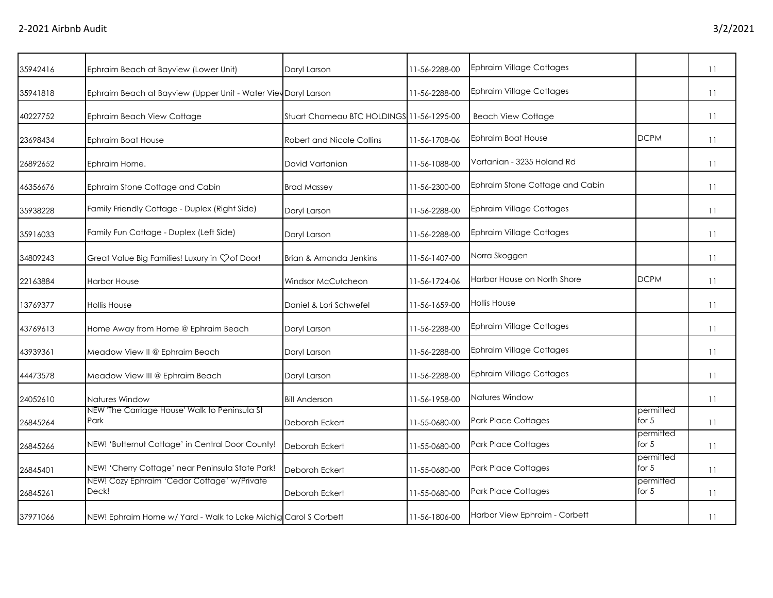| Ephraim Beach at Bayview (Lower Unit)                     | Daryl Larson              | 11-56-2288-00                                                                                                                     | <b>Ephraim Village Cottages</b>           |                      | 11 |
|-----------------------------------------------------------|---------------------------|-----------------------------------------------------------------------------------------------------------------------------------|-------------------------------------------|----------------------|----|
|                                                           |                           | 11-56-2288-00                                                                                                                     | <b>Ephraim Village Cottages</b>           |                      | 11 |
| Ephraim Beach View Cottage                                |                           |                                                                                                                                   | <b>Beach View Cottage</b>                 |                      | 11 |
| Ephraim Boat House                                        | Robert and Nicole Collins | 11-56-1708-06                                                                                                                     | Ephraim Boat House                        | <b>DCPM</b>          | 11 |
| Ephraim Home.                                             | David Vartanian           | 11-56-1088-00                                                                                                                     | Vartanian - 3235 Holand Rd                |                      | 11 |
| Ephraim Stone Cottage and Cabin                           | <b>Brad Massey</b>        | 11-56-2300-00                                                                                                                     | Ephraim Stone Cottage and Cabin           |                      | 11 |
| Family Friendly Cottage - Duplex (Right Side)             | Daryl Larson              | 11-56-2288-00                                                                                                                     | <b>Ephraim Village Cottages</b>           |                      | 11 |
| Family Fun Cottage - Duplex (Left Side)                   | Daryl Larson              | 11-56-2288-00                                                                                                                     | <b>Ephraim Village Cottages</b>           |                      | 11 |
| Great Value Big Families! Luxury in $\heartsuit$ of Door! | Brian & Amanda Jenkins    | 11-56-1407-00                                                                                                                     | Norra Skoggen                             |                      | 11 |
| <b>Harbor House</b>                                       | Windsor McCutcheon        | 11-56-1724-06                                                                                                                     | Harbor House on North Shore               | <b>DCPM</b>          | 11 |
| <b>Hollis House</b>                                       | Daniel & Lori Schwefel    | 11-56-1659-00                                                                                                                     | <b>Hollis House</b>                       |                      | 11 |
| Home Away from Home @ Ephraim Beach                       | Daryl Larson              | 11-56-2288-00                                                                                                                     | <b>Ephraim Village Cottages</b>           |                      | 11 |
| Meadow View II @ Ephraim Beach                            | Daryl Larson              | 11-56-2288-00                                                                                                                     | <b>Ephraim Village Cottages</b>           |                      | 11 |
| Meadow View III @ Ephraim Beach                           | Daryl Larson              | 11-56-2288-00                                                                                                                     | <b>Ephraim Village Cottages</b>           |                      | 11 |
| Natures Window                                            | <b>Bill Anderson</b>      | 11-56-1958-00                                                                                                                     | Natures Window                            |                      | 11 |
| NEW 'The Carriage House' Walk to Peninsula St<br>Park     | Deborah Eckert            | 11-55-0680-00                                                                                                                     | Park Place Cottages                       | permitted<br>for $5$ | 11 |
| NEW! 'Butternut Cottage' in Central Door County!          | Deborah Eckert            | 11-55-0680-00                                                                                                                     | <b>Park Place Cottages</b>                | permitted<br>for $5$ | 11 |
| NEW! 'Cherry Cottage' near Peninsula State Park!          | Deborah Eckert            | 11-55-0680-00                                                                                                                     | <b>Park Place Cottages</b>                | permitted<br>for $5$ | 11 |
| NEW! Cozy Ephraim 'Cedar Cottage' w/Private<br>Deck!      | Deborah Eckert            | 11-55-0680-00                                                                                                                     | Park Place Cottages                       | permitted<br>for $5$ | 11 |
|                                                           |                           | 11-56-1806-00                                                                                                                     | Harbor View Ephraim - Corbett             |                      | 11 |
|                                                           |                           | Ephraim Beach at Bayview (Upper Unit - Water Viev Daryl Larson<br>NEW! Ephraim Home w/ Yard - Walk to Lake Michig Carol S Corbett | Stuart Chomeau BTC HOLDINGS 11-56-1295-00 |                      |    |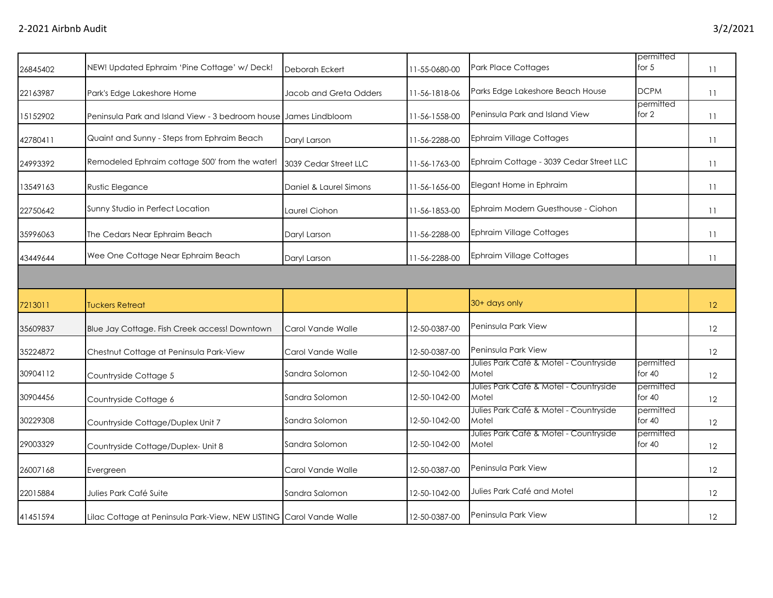| 26845402 | NEW! Updated Ephraim 'Pine Cottage' w/ Deck!                     | Deborah Eckert         | 11-55-0680-00 | <b>Park Place Cottages</b>                      | permitted<br>for $5$  | 11 |
|----------|------------------------------------------------------------------|------------------------|---------------|-------------------------------------------------|-----------------------|----|
| 22163987 | Park's Edge Lakeshore Home                                       | Jacob and Greta Odders | 11-56-1818-06 | Parks Edge Lakeshore Beach House                | <b>DCPM</b>           | 11 |
| 15152902 | Peninsula Park and Island View - 3 bedroom house James Lindbloom |                        | 11-56-1558-00 | Peninsula Park and Island View                  | permitted<br>for $2$  | 11 |
| 42780411 | Quaint and Sunny - Steps from Ephraim Beach                      | Daryl Larson           | 11-56-2288-00 | <b>Ephraim Village Cottages</b>                 |                       | 11 |
| 24993392 | Remodeled Ephraim cottage 500' from the water!                   | 3039 Cedar Street LLC  | 11-56-1763-00 | Ephraim Cottage - 3039 Cedar Street LLC         |                       | 11 |
| 13549163 | Rustic Elegance                                                  | Daniel & Laurel Simons | 11-56-1656-00 | Elegant Home in Ephraim                         |                       | 11 |
| 22750642 | Sunny Studio in Perfect Location                                 | Laurel Ciohon          | 11-56-1853-00 | Ephraim Modern Guesthouse - Ciohon              |                       | 11 |
| 35996063 | The Cedars Near Ephraim Beach                                    | Daryl Larson           | 11-56-2288-00 | <b>Ephraim Village Cottages</b>                 |                       | 11 |
| 43449644 | Wee One Cottage Near Ephraim Beach                               | Daryl Larson           | 11-56-2288-00 | <b>Ephraim Village Cottages</b>                 |                       | 11 |
|          |                                                                  |                        |               |                                                 |                       |    |
| 7213011  | <b>Tuckers Retreat</b>                                           |                        |               | 30+ days only                                   |                       | 12 |
| 35609837 | Blue Jay Cottage. Fish Creek access! Downtown                    | Carol Vande Walle      | 12-50-0387-00 | Peninsula Park View                             |                       | 12 |
| 35224872 | Chestnut Cottage at Peninsula Park-View                          | Carol Vande Walle      | 12-50-0387-00 | Peninsula Park View                             |                       | 12 |
| 30904112 | Countryside Cottage 5                                            | Sandra Solomon         | 12-50-1042-00 | Julies Park Café & Motel - Countryside<br>Motel | permitted<br>for $40$ | 12 |
| 30904456 | Countryside Cottage 6                                            | Sandra Solomon         | 12-50-1042-00 | Julies Park Café & Motel - Countryside<br>Motel | permitted<br>for $40$ | 12 |
| 30229308 | Countryside Cottage/Duplex Unit 7                                | Sandra Solomon         | 12-50-1042-00 | Julies Park Café & Motel - Countryside<br>Motel | permitted<br>for 40   | 12 |
| 29003329 | Countryside Cottage/Duplex- Unit 8                               | Sandra Solomon         | 12-50-1042-00 | Julies Park Café & Motel - Countryside<br>Motel | permitted<br>for $40$ | 12 |
| 26007168 | Evergreen                                                        | Carol Vande Walle      | 12-50-0387-00 | Peninsula Park View                             |                       | 12 |
| 22015884 |                                                                  |                        | 12-50-1042-00 | Julies Park Café and Motel                      |                       | 12 |
|          | Julies Park Café Suite                                           | Sandra Salomon         |               |                                                 |                       |    |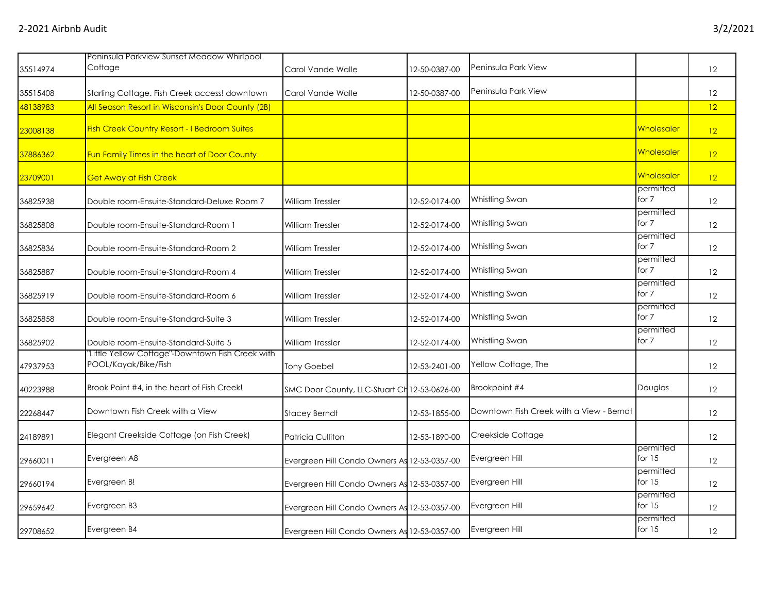|          | Peninsula Parkview Sunset Meadow Whirlpool                               |                                              |               |                                          |                       |    |
|----------|--------------------------------------------------------------------------|----------------------------------------------|---------------|------------------------------------------|-----------------------|----|
| 35514974 | Cottage                                                                  | Carol Vande Walle                            | 12-50-0387-00 | Peninsula Park View                      |                       | 12 |
| 35515408 | Starling Cottage. Fish Creek access! downtown                            | Carol Vande Walle                            | 12-50-0387-00 | Peninsula Park View                      |                       | 12 |
| 48138983 | All Season Resort in Wisconsin's Door County (2B)                        |                                              |               |                                          |                       | 12 |
| 23008138 | <b>Fish Creek Country Resort - I Bedroom Suites</b>                      |                                              |               |                                          | Wholesaler            | 12 |
| 37886362 | Fun Family Times in the heart of Door County                             |                                              |               |                                          | Wholesaler            | 12 |
| 23709001 | <b>Get Away at Fish Creek</b>                                            |                                              |               |                                          | Wholesaler            | 12 |
| 36825938 | Double room-Ensuite-Standard-Deluxe Room 7                               | <b>William Tressler</b>                      | 12-52-0174-00 | Whistling Swan                           | permitted<br>for 7    | 12 |
| 36825808 | Double room-Ensuite-Standard-Room 1                                      | William Tressler                             | 12-52-0174-00 | Whistling Swan                           | permitted<br>for 7    | 12 |
| 36825836 | Double room-Ensuite-Standard-Room 2                                      | <b>William Tressler</b>                      | 12-52-0174-00 | Whistling Swan                           | permitted<br>for $7$  | 12 |
| 36825887 | Double room-Ensuite-Standard-Room 4                                      | William Tressler                             | 12-52-0174-00 | Whistling Swan                           | permitted<br>for 7    | 12 |
| 36825919 | Double room-Ensuite-Standard-Room 6                                      | <b>William Tressler</b>                      | 12-52-0174-00 | Whistling Swan                           | permitted<br>for 7    | 12 |
| 36825858 | Double room-Ensuite-Standard-Suite 3                                     | <b>William Tressler</b>                      | 12-52-0174-00 | Whistling Swan                           | permitted<br>for 7    | 12 |
| 36825902 | Double room-Ensuite-Standard-Suite 5                                     | William Tressler                             | 12-52-0174-00 | Whistling Swan                           | permitted<br>for 7    | 12 |
| 47937953 | "Little Yellow Cottage"-Downtown Fish Creek with<br>POOL/Kayak/Bike/Fish | <b>Tony Goebel</b>                           | 12-53-2401-00 | Yellow Cottage, The                      |                       | 12 |
| 40223988 | Brook Point #4, in the heart of Fish Creek!                              | SMC Door County, LLC-Stuart Ch 12-53-0626-00 |               | Brookpoint #4                            | Douglas               | 12 |
| 22268447 | Downtown Fish Creek with a View                                          | <b>Stacey Berndt</b>                         | 12-53-1855-00 | Downtown Fish Creek with a View - Berndt |                       | 12 |
| 24189891 | Elegant Creekside Cottage (on Fish Creek)                                | Patricia Culliton                            | 12-53-1890-00 | Creekside Cottage                        |                       | 12 |
| 29660011 | Evergreen A8                                                             | Evergreen Hill Condo Owners As 12-53-0357-00 |               | Evergreen Hill                           | permitted<br>for $15$ | 12 |
| 29660194 | Evergreen B!                                                             | Evergreen Hill Condo Owners As 12-53-0357-00 |               | Evergreen Hill                           | permitted<br>for $15$ | 12 |
| 29659642 | Evergreen B3                                                             | Evergreen Hill Condo Owners As 12-53-0357-00 |               | Evergreen Hill                           | permitted<br>for $15$ | 12 |
| 29708652 | Evergreen B4                                                             | Evergreen Hill Condo Owners As 12-53-0357-00 |               | Evergreen Hill                           | permitted<br>for $15$ | 12 |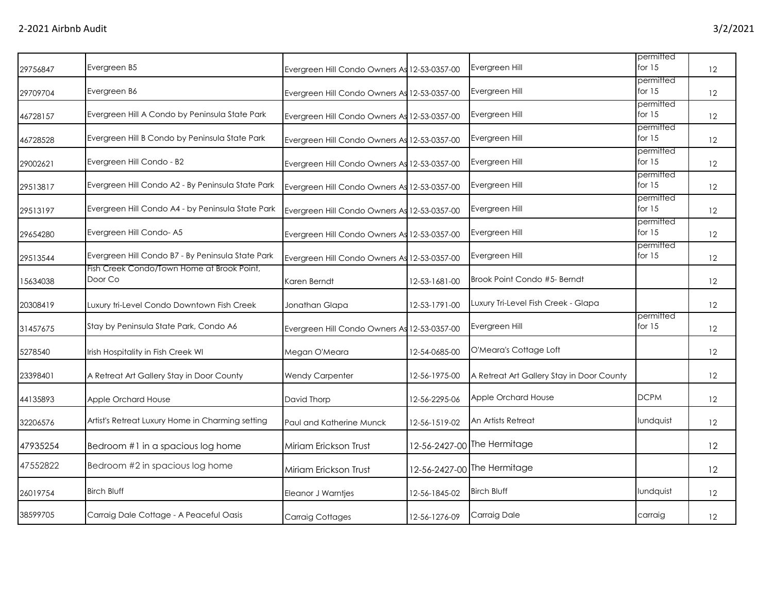|          |                                                       |                                              |               |                                           | permitted             |    |
|----------|-------------------------------------------------------|----------------------------------------------|---------------|-------------------------------------------|-----------------------|----|
| 29756847 | Evergreen B5                                          | Evergreen Hill Condo Owners As 12-53-0357-00 |               | Evergreen Hill                            | for $15$              | 12 |
| 29709704 | Evergreen B6                                          | Evergreen Hill Condo Owners As 12-53-0357-00 |               | Evergreen Hill                            | permitted<br>for $15$ | 12 |
| 46728157 | Evergreen Hill A Condo by Peninsula State Park        | Evergreen Hill Condo Owners As 12-53-0357-00 |               | Evergreen Hill                            | permitted<br>for $15$ | 12 |
| 46728528 | Evergreen Hill B Condo by Peninsula State Park        | Evergreen Hill Condo Owners As 12-53-0357-00 |               | Evergreen Hill                            | permitted<br>for $15$ | 12 |
| 29002621 | Evergreen Hill Condo - B2                             | Evergreen Hill Condo Owners As 12-53-0357-00 |               | Evergreen Hill                            | permitted<br>for $15$ | 12 |
| 29513817 | Evergreen Hill Condo A2 - By Peninsula State Park     | Evergreen Hill Condo Owners As 12-53-0357-00 |               | Evergreen Hill                            | permitted<br>for $15$ | 12 |
| 29513197 | Evergreen Hill Condo A4 - by Peninsula State Park     | Evergreen Hill Condo Owners As 12-53-0357-00 |               | Evergreen Hill                            | permitted<br>for $15$ | 12 |
| 29654280 | Evergreen Hill Condo-A5                               | Evergreen Hill Condo Owners As 12-53-0357-00 |               | Evergreen Hill                            | permitted<br>for $15$ | 12 |
| 29513544 | Evergreen Hill Condo B7 - By Peninsula State Park     | Evergreen Hill Condo Owners As 12-53-0357-00 |               | Evergreen Hill                            | permitted<br>for $15$ | 12 |
| 15634038 | Fish Creek Condo/Town Home at Brook Point,<br>Door Co | Karen Berndt                                 | 12-53-1681-00 | Brook Point Condo #5- Berndt              |                       | 12 |
| 20308419 | Luxury tri-Level Condo Downtown Fish Creek            | Jonathan Glapa                               | 12-53-1791-00 | Luxury Tri-Level Fish Creek - Glapa       |                       | 12 |
| 31457675 | Stay by Peninsula State Park, Condo A6                | Evergreen Hill Condo Owners As 12-53-0357-00 |               | Evergreen Hill                            | permitted<br>for $15$ | 12 |
| 5278540  | Irish Hospitality in Fish Creek WI                    | Megan O'Meara                                | 12-54-0685-00 | O'Meara's Cottage Loft                    |                       | 12 |
| 23398401 | A Retreat Art Gallery Stay in Door County             | <b>Wendy Carpenter</b>                       | 12-56-1975-00 | A Retreat Art Gallery Stay in Door County |                       | 12 |
| 44135893 | Apple Orchard House                                   | David Thorp                                  | 12-56-2295-06 | Apple Orchard House                       | <b>DCPM</b>           | 12 |
| 32206576 | Artist's Retreat Luxury Home in Charming setting      | Paul and Katherine Munck                     | 12-56-1519-02 | An Artists Retreat                        | lundquist             | 12 |
| 47935254 | Bedroom #1 in a spacious log home                     | Miriam Erickson Trust                        |               | 12-56-2427-00 The Hermitage               |                       | 12 |
| 47552822 | Bedroom #2 in spacious log home                       | Miriam Erickson Trust                        |               | 12-56-2427-00 The Hermitage               |                       | 12 |
| 26019754 | <b>Birch Bluff</b>                                    | Eleanor J Warntjes                           | 12-56-1845-02 | <b>Birch Bluff</b>                        | lundquist             | 12 |
| 38599705 | Carraig Dale Cottage - A Peaceful Oasis               | <b>Carraig Cottages</b>                      | 12-56-1276-09 | Carraig Dale                              | carraig               | 12 |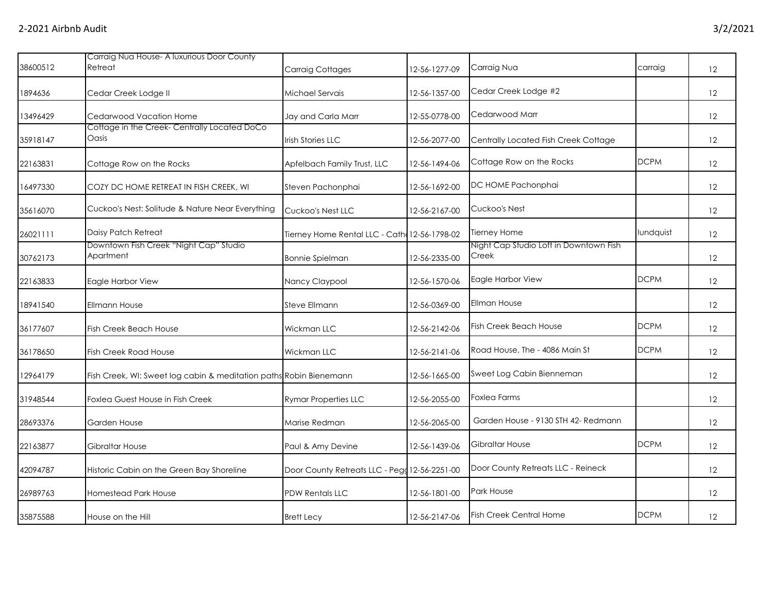|          | Carraig Nua House- A luxurious Door County                         |                                               |               |                                                 |             |                   |
|----------|--------------------------------------------------------------------|-----------------------------------------------|---------------|-------------------------------------------------|-------------|-------------------|
| 38600512 | Retreat                                                            | Carraig Cottages                              | 12-56-1277-09 | Carraig Nua                                     | carraig     | 12                |
| 1894636  | Cedar Creek Lodge II                                               | Michael Servais                               | 12-56-1357-00 | Cedar Creek Lodge #2                            |             | 12                |
| 13496429 | Cedarwood Vacation Home                                            | Jay and Carla Marr                            | 12-55-0778-00 | Cedarwood Marr                                  |             | 12                |
| 35918147 | Cottage in the Creek-Centrally Located DoCo<br>Oasis               | <b>Irish Stories LLC</b>                      | 12-56-2077-00 | Centrally Located Fish Creek Cottage            |             | 12                |
| 22163831 | Cottage Row on the Rocks                                           | Apfelbach Family Trust, LLC                   | 12-56-1494-06 | Cottage Row on the Rocks                        | <b>DCPM</b> | 12                |
| 16497330 | COZY DC HOME RETREAT IN FISH CREEK, WI                             | Steven Pachonphai                             | 12-56-1692-00 | DC HOME Pachonphai                              |             | $12 \overline{ }$ |
| 35616070 | Cuckoo's Nest: Solitude & Nature Near Everything                   | Cuckoo's Nest LLC                             | 12-56-2167-00 | Cuckoo's Nest                                   |             | 12                |
| 26021111 | Daisy Patch Retreat                                                | Tierney Home Rental LLC - Cath 12-56-1798-02  |               | Tierney Home                                    | lundquist   | 12                |
| 30762173 | Downtown Fish Creek "Night Cap" Studio<br>Apartment                | <b>Bonnie Spielman</b>                        | 12-56-2335-00 | Night Cap Studio Loft in Downtown Fish<br>Creek |             | 12                |
| 22163833 | Eagle Harbor View                                                  | Nancy Claypool                                | 12-56-1570-06 | Eagle Harbor View                               | <b>DCPM</b> | $12 \overline{ }$ |
| 18941540 | <b>Ellmann House</b>                                               | Steve Ellmann                                 | 12-56-0369-00 | <b>Ellman House</b>                             |             | 12                |
| 36177607 | <b>Fish Creek Beach House</b>                                      | Wickman LLC                                   | 12-56-2142-06 | <b>Fish Creek Beach House</b>                   | <b>DCPM</b> | 12                |
| 36178650 | Fish Creek Road House                                              | Wickman LLC                                   | 12-56-2141-06 | Road House, The - 4086 Main St                  | <b>DCPM</b> | 12                |
| 12964179 | Fish Creek, WI: Sweet log cabin & meditation paths Robin Bienemann |                                               | 12-56-1665-00 | Sweet Log Cabin Bienneman                       |             | $12 \overline{ }$ |
| 31948544 | <b>Foxlea Guest House in Fish Creek</b>                            | <b>Rymar Properties LLC</b>                   | 12-56-2055-00 | <b>Foxlea Farms</b>                             |             | 12                |
| 28693376 | Garden House                                                       | Marise Redman                                 | 12-56-2065-00 | Garden House - 9130 STH 42- Redmann             |             | 12                |
| 22163877 | Gibraltar House                                                    | Paul & Amy Devine                             | 12-56-1439-06 | Gibraltar House                                 | <b>DCPM</b> | 12                |
| 42094787 | Historic Cabin on the Green Bay Shoreline                          | Door County Retreats LLC - Pegg 12-56-2251-00 |               | Door County Retreats LLC - Reineck              |             | $12 \overline{ }$ |
| 26989763 | Homestead Park House                                               | PDW Rentals LLC                               | 12-56-1801-00 | Park House                                      |             | 12                |
| 35875588 | House on the Hill                                                  | <b>Brett Lecy</b>                             | 12-56-2147-06 | <b>Fish Creek Central Home</b>                  | <b>DCPM</b> | 12                |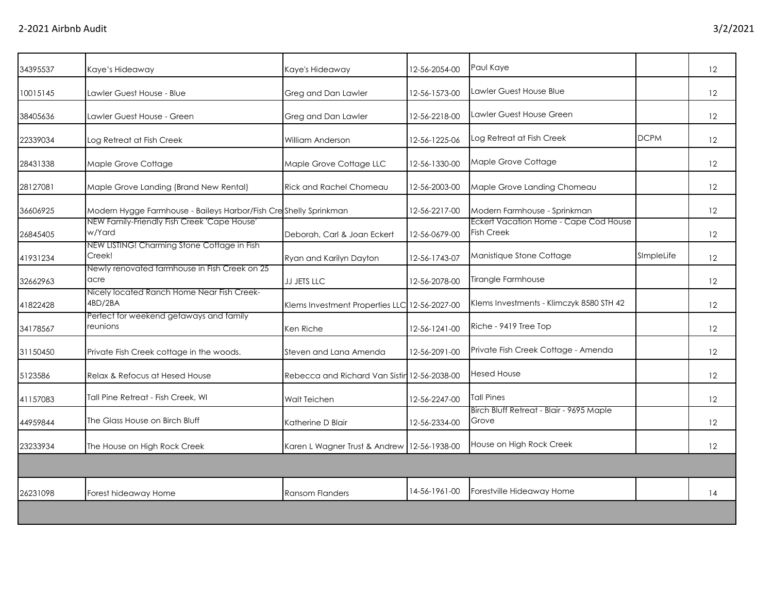| 34395537 | Kaye's Hideaway                                                  | Kaye's Hideaway                               | 12-56-2054-00 | Paul Kaye                                                         |             | 12                |
|----------|------------------------------------------------------------------|-----------------------------------------------|---------------|-------------------------------------------------------------------|-------------|-------------------|
| 10015145 | Lawler Guest House - Blue                                        | Greg and Dan Lawler                           | 12-56-1573-00 | Lawler Guest House Blue                                           |             | 12                |
| 38405636 | Lawler Guest House - Green                                       | Greg and Dan Lawler                           | 12-56-2218-00 | Lawler Guest House Green                                          |             | 12                |
| 22339034 | Log Retreat at Fish Creek                                        | William Anderson                              | 12-56-1225-06 | Log Retreat at Fish Creek                                         | <b>DCPM</b> | 12                |
| 28431338 | Maple Grove Cottage                                              | Maple Grove Cottage LLC                       | 12-56-1330-00 | Maple Grove Cottage                                               |             | 12                |
| 28127081 | Maple Grove Landing (Brand New Rental)                           | Rick and Rachel Chomeau                       | 12-56-2003-00 | Maple Grove Landing Chomeau                                       |             | 12                |
| 36606925 | Modern Hygge Farmhouse - Baileys Harbor/Fish Creshelly Sprinkman |                                               | 12-56-2217-00 | Modern Farmhouse - Sprinkman                                      |             | $12 \overline{ }$ |
| 26845405 | NEW Family-Friendly Fish Creek 'Cape House'<br>w/Yard            | Deborah, Carl & Joan Eckert                   | 12-56-0679-00 | <b>Eckert Vacation Home - Cape Cod House</b><br><b>Fish Creek</b> |             | 12                |
| 41931234 | NEW LISTING! Charming Stone Cottage in Fish<br>Creek!            | Ryan and Karilyn Dayton                       | 12-56-1743-07 | Manistique Stone Cottage                                          | SImpleLife  | 12                |
| 32662963 | Newly renovated farmhouse in Fish Creek on 25<br>acre            | JJ JETS LLC                                   | 12-56-2078-00 | Tirangle Farmhouse                                                |             | 12                |
| 41822428 | Nicely located Ranch Home Near Fish Creek-<br>4BD/2BA            | Klems Investment Properties LLC 12-56-2027-00 |               | Klems Investments - Klimczyk 8580 STH 42                          |             | 12                |
| 34178567 | Perfect for weekend getaways and family<br>reunions              | Ken Riche                                     | 12-56-1241-00 | Riche - 9419 Tree Top                                             |             | 12                |
| 31150450 | Private Fish Creek cottage in the woods.                         | Steven and Lana Amenda                        | 12-56-2091-00 | Private Fish Creek Cottage - Amenda                               |             | $12 \overline{ }$ |
| 5123586  | Relax & Refocus at Hesed House                                   | Rebecca and Richard Van Sistin 12-56-2038-00  |               | <b>Hesed House</b>                                                |             | 12                |
| 41157083 | Tall Pine Retreat - Fish Creek, WI                               | Walt Teichen                                  | 12-56-2247-00 | <b>Tall Pines</b>                                                 |             | 12                |
| 44959844 | The Glass House on Birch Bluff                                   | Katherine D Blair                             | 12-56-2334-00 | Birch Bluff Retreat - Blair - 9695 Maple<br>Grove                 |             | 12                |
| 23233934 | The House on High Rock Creek                                     | Karen L Wagner Trust & Andrew 12-56-1938-00   |               | House on High Rock Creek                                          |             | 12                |
|          |                                                                  |                                               |               |                                                                   |             |                   |
| 26231098 | Forest hideaway Home                                             | <b>Ransom Flanders</b>                        | 14-56-1961-00 | Forestville Hideaway Home                                         |             | 14                |
|          |                                                                  |                                               |               |                                                                   |             |                   |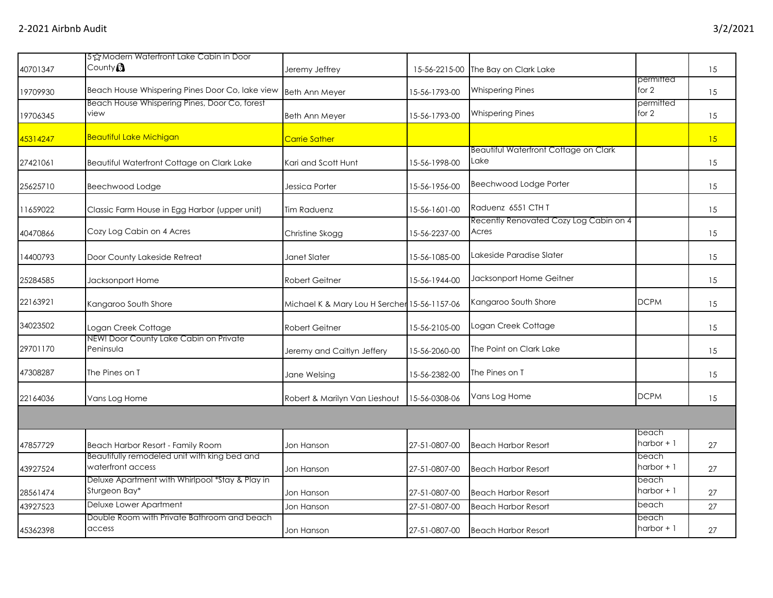| 40701347 | 5公Modern Waterfront Lake Cabin in Door<br>County <sup>3</sup>     | Jeremy Jeffrey                               | 15-56-2215-00 | The Bay on Clark Lake                                |                      | 15 |
|----------|-------------------------------------------------------------------|----------------------------------------------|---------------|------------------------------------------------------|----------------------|----|
| 19709930 | Beach House Whispering Pines Door Co, lake view                   | <b>Beth Ann Meyer</b>                        | 15-56-1793-00 | <b>Whispering Pines</b>                              | permitted<br>for 2   | 15 |
| 19706345 | Beach House Whispering Pines, Door Co, forest<br>view             | <b>Beth Ann Meyer</b>                        | 15-56-1793-00 | <b>Whispering Pines</b>                              | permitted<br>for 2   | 15 |
| 45314247 | <b>Beautiful Lake Michigan</b>                                    | <b>Carrie Sather</b>                         |               |                                                      |                      | 15 |
| 27421061 | Beautiful Waterfront Cottage on Clark Lake                        | Kari and Scott Hunt                          | 15-56-1998-00 | <b>Beautiful Waterfront Cottage on Clark</b><br>Lake |                      | 15 |
| 25625710 | Beechwood Lodge                                                   | Jessica Porter                               | 15-56-1956-00 | Beechwood Lodge Porter                               |                      | 15 |
| 11659022 | Classic Farm House in Egg Harbor (upper unit)                     | Tim Raduenz                                  | 15-56-1601-00 | Raduenz 6551 CTH T                                   |                      | 15 |
| 40470866 | Cozy Log Cabin on 4 Acres                                         | Christine Skogg                              | 15-56-2237-00 | Recently Renovated Cozy Log Cabin on 4<br>Acres      |                      | 15 |
| 14400793 | Door County Lakeside Retreat                                      | Janet Slater                                 | 15-56-1085-00 | Lakeside Paradise Slater                             |                      | 15 |
| 25284585 | Jacksonport Home                                                  | <b>Robert Geitner</b>                        | 15-56-1944-00 | Jacksonport Home Geitner                             |                      | 15 |
| 22163921 | Kangaroo South Shore                                              | Michael K & Mary Lou H Sercher 15-56-1157-06 |               | Kangaroo South Shore                                 | <b>DCPM</b>          | 15 |
| 34023502 | Logan Creek Cottage                                               | <b>Robert Geitner</b>                        | 15-56-2105-00 | Logan Creek Cottage                                  |                      | 15 |
| 29701170 | NEW! Door County Lake Cabin on Private<br>Peninsula               | Jeremy and Caitlyn Jeffery                   | 15-56-2060-00 | The Point on Clark Lake                              |                      | 15 |
| 47308287 | The Pines on T                                                    | Jane Welsing                                 | 15-56-2382-00 | The Pines on T                                       |                      | 15 |
| 22164036 | Vans Log Home                                                     | Robert & Marilyn Van Lieshout                | 15-56-0308-06 | Vans Log Home                                        | <b>DCPM</b>          | 15 |
|          |                                                                   |                                              |               |                                                      |                      |    |
| 47857729 | Beach Harbor Resort - Family Room                                 | Jon Hanson                                   | 27-51-0807-00 | <b>Beach Harbor Resort</b>                           | beach<br>harbor $+1$ | 27 |
| 43927524 | Beautifully remodeled unit with king bed and<br>waterfront access | Jon Hanson                                   | 27-51-0807-00 | <b>Beach Harbor Resort</b>                           | beach<br>harbor $+1$ | 27 |
| 28561474 | Deluxe Apartment with Whirlpool *Stay & Play in<br>Sturgeon Bay*  | Jon Hanson                                   | 27-51-0807-00 | <b>Beach Harbor Resort</b>                           | beach<br>harbor $+1$ | 27 |
| 43927523 | Deluxe Lower Apartment                                            | Jon Hanson                                   | 27-51-0807-00 | <b>Beach Harbor Resort</b>                           | beach                | 27 |
| 45362398 | Double Room with Private Bathroom and beach<br>access             | Jon Hanson                                   | 27-51-0807-00 | <b>Beach Harbor Resort</b>                           | beach<br>harbor $+1$ | 27 |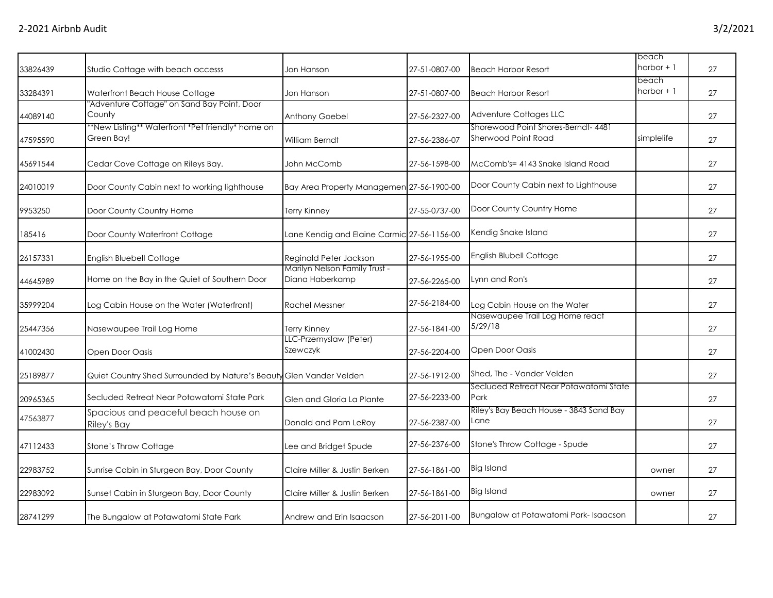|          |                                                                     |                                                  |               |                                                            | beach                |    |
|----------|---------------------------------------------------------------------|--------------------------------------------------|---------------|------------------------------------------------------------|----------------------|----|
| 33826439 | Studio Cottage with beach accesss                                   | Jon Hanson                                       | 27-51-0807-00 | <b>Beach Harbor Resort</b>                                 | $harbor + 1$         | 27 |
| 33284391 | Waterfront Beach House Cottage                                      | Jon Hanson                                       | 27-51-0807-00 | <b>Beach Harbor Resort</b>                                 | beach<br>harbor $+1$ | 27 |
| 44089140 | "Adventure Cottage" on Sand Bay Point, Door<br>County               | Anthony Goebel                                   | 27-56-2327-00 | Adventure Cottages LLC                                     |                      | 27 |
| 47595590 | *New Listing** Waterfront *Pet friendly* home on<br>Green Bay!      | <b>William Berndt</b>                            | 27-56-2386-07 | Shorewood Point Shores-Berndt- 4481<br>Sherwood Point Road | simplelife           | 27 |
| 45691544 | Cedar Cove Cottage on Rileys Bay.                                   | John McComb                                      | 27-56-1598-00 | McComb's= 4143 Snake Island Road                           |                      | 27 |
| 24010019 | Door County Cabin next to working lighthouse                        | Bay Area Property Managemen 27-56-1900-00        |               | Door County Cabin next to Lighthouse                       |                      | 27 |
| 9953250  | Door County Country Home                                            | <b>Terry Kinney</b>                              | 27-55-0737-00 | Door County Country Home                                   |                      | 27 |
| 185416   | Door County Waterfront Cottage                                      | Lane Kendig and Elaine Carmic 27-56-1156-00      |               | Kendig Snake Island                                        |                      | 27 |
| 26157331 | English Bluebell Cottage                                            | Reginald Peter Jackson                           | 27-56-1955-00 | English Blubell Cottage                                    |                      | 27 |
| 44645989 | Home on the Bay in the Quiet of Southern Door                       | Marilyn Nelson Family Trust -<br>Diana Haberkamp | 27-56-2265-00 | Lynn and Ron's                                             |                      | 27 |
| 35999204 | Log Cabin House on the Water (Waterfront)                           | <b>Rachel Messner</b>                            | 27-56-2184-00 | Log Cabin House on the Water                               |                      | 27 |
| 25447356 | Nasewaupee Trail Log Home                                           | <b>Terry Kinney</b>                              | 27-56-1841-00 | Nasewaupee Trail Log Home react<br>5/29/18                 |                      | 27 |
| 41002430 | Open Door Oasis                                                     | LLC-Przemyslaw (Peter)<br>Szewczyk               | 27-56-2204-00 | Open Door Oasis                                            |                      | 27 |
| 25189877 | Quiet Country Shed Surrounded by Nature's Beauty Glen Vander Velden |                                                  | 27-56-1912-00 | Shed, The - Vander Velden                                  |                      | 27 |
| 20965365 | Secluded Retreat Near Potawatomi State Park                         | Glen and Gloria La Plante                        | 27-56-2233-00 | Secluded Retreat Near Potawatomi State<br>Park             |                      | 27 |
| 47563877 | Spacious and peaceful beach house on<br>Riley's Bay                 | Donald and Pam LeRoy                             | 27-56-2387-00 | Riley's Bay Beach House - 3843 Sand Bay<br>Lane            |                      | 27 |
| 47112433 | Stone's Throw Cottage                                               | Lee and Bridget Spude                            | 27-56-2376-00 | Stone's Throw Cottage - Spude                              |                      | 27 |
| 22983752 | Sunrise Cabin in Sturgeon Bay, Door County                          | Claire Miller & Justin Berken                    | 27-56-1861-00 | <b>Big Island</b>                                          | owner                | 27 |
| 22983092 | Sunset Cabin in Sturgeon Bay, Door County                           | Claire Miller & Justin Berken                    | 27-56-1861-00 | <b>Big Island</b>                                          | owner                | 27 |
| 28741299 | The Bungalow at Potawatomi State Park                               | Andrew and Erin Isaacson                         | 27-56-2011-00 | Bungalow at Potawatomi Park-Isaacson                       |                      | 27 |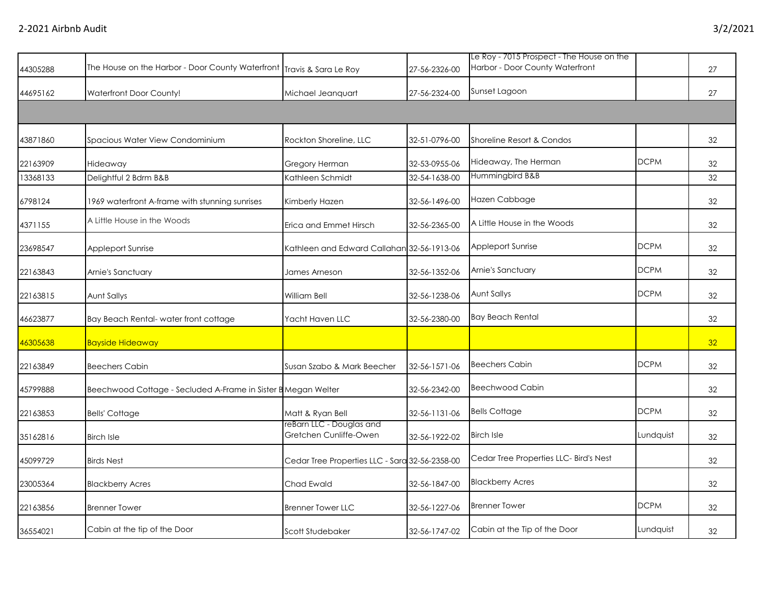| 44305288 | The House on the Harbor - Door County Waterfront Travis & Sara Le Roy |                                                    | 27-56-2326-00 | Le Roy - 7015 Prospect - The House on the<br>Harbor - Door County Waterfront |             | 27              |
|----------|-----------------------------------------------------------------------|----------------------------------------------------|---------------|------------------------------------------------------------------------------|-------------|-----------------|
| 44695162 | Waterfront Door County!                                               | Michael Jeanguart                                  | 27-56-2324-00 | Sunset Lagoon                                                                |             | 27              |
| 43871860 | Spacious Water View Condominium                                       | Rockton Shoreline, LLC                             | 32-51-0796-00 | Shoreline Resort & Condos                                                    |             | 32              |
| 22163909 | Hideaway                                                              | Gregory Herman                                     | 32-53-0955-06 | Hideaway, The Herman                                                         | <b>DCPM</b> | 32              |
| 13368133 | Delightful 2 Bdrm B&B                                                 | Kathleen Schmidt                                   | 32-54-1638-00 | Hummingbird B&B                                                              |             | 32              |
| 6798124  | 1969 waterfront A-frame with stunning sunrises                        | Kimberly Hazen                                     | 32-56-1496-00 | Hazen Cabbage                                                                |             | 32              |
| 4371155  | A Little House in the Woods                                           | Erica and Emmet Hirsch                             | 32-56-2365-00 | A Little House in the Woods                                                  |             | 32              |
| 23698547 | Appleport Sunrise                                                     | Kathleen and Edward Callahan 32-56-1913-06         |               | Appleport Sunrise                                                            | <b>DCPM</b> | 32              |
| 22163843 | Arnie's Sanctuary                                                     | James Arneson                                      | 32-56-1352-06 | Arnie's Sanctuary                                                            | <b>DCPM</b> | 32              |
| 22163815 | Aunt Sallys                                                           | William Bell                                       | 32-56-1238-06 | Aunt Sallys                                                                  | <b>DCPM</b> | 32              |
| 46623877 | Bay Beach Rental-water front cottage                                  | Yacht Haven LLC                                    | 32-56-2380-00 | <b>Bay Beach Rental</b>                                                      |             | 32              |
| 46305638 | <b>Bayside Hideaway</b>                                               |                                                    |               |                                                                              |             | 32 <sup>°</sup> |
| 22163849 | <b>Beechers Cabin</b>                                                 | Susan Szabo & Mark Beecher                         | 32-56-1571-06 | <b>Beechers Cabin</b>                                                        | <b>DCPM</b> | 32              |
| 45799888 | Beechwood Cottage - Secluded A-Frame in Sister B Megan Welter         |                                                    | 32-56-2342-00 | <b>Beechwood Cabin</b>                                                       |             | 32              |
| 22163853 | <b>Bells' Cottage</b>                                                 | Matt & Ryan Bell                                   | 32-56-1131-06 | <b>Bells Cottage</b>                                                         | <b>DCPM</b> | 32              |
| 35162816 | <b>Birch Isle</b>                                                     | reBarn LLC - Douglas and<br>Gretchen Cunliffe-Owen | 32-56-1922-02 | <b>Birch Isle</b>                                                            | Lundquist   | 32              |
| 45099729 | <b>Birds Nest</b>                                                     | Cedar Tree Properties LLC - Sara 32-56-2358-00     |               | Cedar Tree Properties LLC- Bird's Nest                                       |             | 32              |
| 23005364 | <b>Blackberry Acres</b>                                               | Chad Ewald                                         | 32-56-1847-00 | <b>Blackberry Acres</b>                                                      |             | 32              |
| 22163856 | <b>Brenner Tower</b>                                                  | <b>Brenner Tower LLC</b>                           | 32-56-1227-06 | <b>Brenner Tower</b>                                                         | <b>DCPM</b> | 32              |
| 36554021 | Cabin at the tip of the Door                                          | Scott Studebaker                                   | 32-56-1747-02 | Cabin at the Tip of the Door                                                 | Lundquist   | 32              |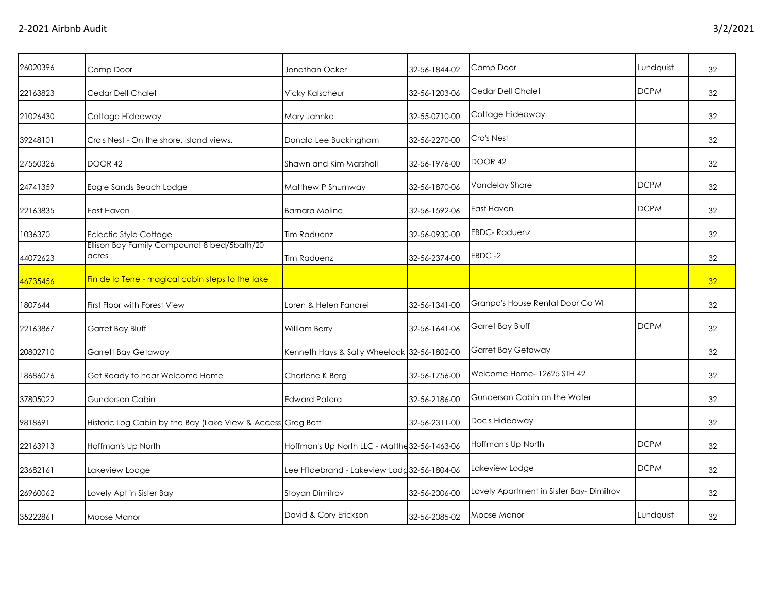| 26020396 | Camp Door                                                   | Jonathan Ocker                                | 32-56-1844-02 | Camp Door                               | Lundquist   | 32 |
|----------|-------------------------------------------------------------|-----------------------------------------------|---------------|-----------------------------------------|-------------|----|
| 22163823 | Cedar Dell Chalet                                           | <b>Vicky Kalscheur</b>                        | 32-56-1203-06 | Cedar Dell Chalet                       | <b>DCPM</b> | 32 |
| 21026430 | Cottage Hideaway                                            | Mary Jahnke                                   | 32-55-0710-00 | Cottage Hideaway                        |             | 32 |
| 39248101 | Cro's Nest - On the shore. Island views.                    | Donald Lee Buckingham                         | 32-56-2270-00 | Cro's Nest                              |             | 32 |
| 27550326 | DOOR 42                                                     | Shawn and Kim Marshall                        | 32-56-1976-00 | DOOR 42                                 |             | 32 |
| 24741359 | Eagle Sands Beach Lodge                                     | Matthew P Shumway                             | 32-56-1870-06 | Vandelay Shore                          | <b>DCPM</b> | 32 |
| 22163835 | East Haven                                                  | <b>Barnara Moline</b>                         | 32-56-1592-06 | East Haven                              | <b>DCPM</b> | 32 |
| 1036370  | <b>Eclectic Style Cottage</b>                               | <b>Tim Raduenz</b>                            | 32-56-0930-00 | <b>EBDC-Raduenz</b>                     |             | 32 |
| 44072623 | Ellison Bay Family Compound! 8 bed/5bath/20<br>acres        | <b>Tim Raduenz</b>                            | 32-56-2374-00 | EBDC-2                                  |             | 32 |
| 46735456 | Fin de la Terre - magical cabin steps to the lake           |                                               |               |                                         |             | 32 |
| 1807644  | First Floor with Forest View                                | Loren & Helen Fandrei                         | 32-56-1341-00 | Granpa's House Rental Door Co WI        |             | 32 |
| 22163867 | Garret Bay Bluff                                            | William Berry                                 | 32-56-1641-06 | Garret Bay Bluff                        | <b>DCPM</b> | 32 |
| 20802710 | Garrett Bay Getaway                                         | Kenneth Hays & Sally Wheelock 32-56-1802-00   |               | Garret Bay Getaway                      |             | 32 |
| 18686076 | Get Ready to hear Welcome Home                              | Charlene K Berg                               | 32-56-1756-00 | Welcome Home-12625 STH 42               |             | 32 |
| 37805022 | <b>Gunderson Cabin</b>                                      | <b>Edward Patera</b>                          | 32-56-2186-00 | Gunderson Cabin on the Water            |             | 32 |
| 9818691  | Historic Log Cabin by the Bay (Lake View & Access Greg Bott |                                               | 32-56-2311-00 | Doc's Hideaway                          |             | 32 |
| 22163913 | Hoffman's Up North                                          | Hoffman's Up North LLC - Matthe 32-56-1463-06 |               | Hoffman's Up North                      | <b>DCPM</b> | 32 |
| 23682161 | Lakeview Lodge                                              | Lee Hildebrand - Lakeview Lodg 32-56-1804-06  |               | Lakeview Lodge                          | <b>DCPM</b> | 32 |
| 26960062 | Lovely Apt in Sister Bay                                    | Stoyan Dimitrov                               | 32-56-2006-00 | Lovely Apartment in Sister Bay-Dimitrov |             | 32 |
| 35222861 | Moose Manor                                                 | David & Cory Erickson                         | 32-56-2085-02 | Moose Manor                             | Lundquist   | 32 |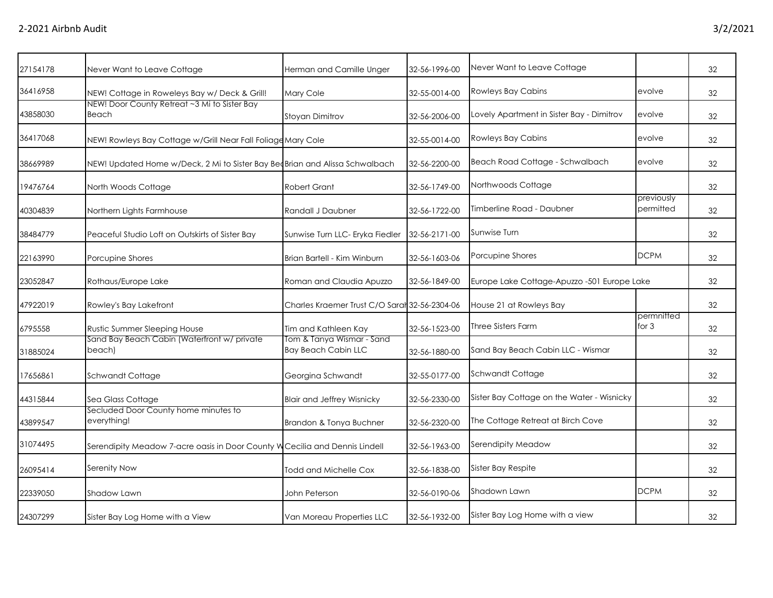| 27154178 | Never Want to Leave Cottage                                                 | Herman and Camille Unger                                | 32-56-1996-00 | Never Want to Leave Cottage                 |                         | 32 |
|----------|-----------------------------------------------------------------------------|---------------------------------------------------------|---------------|---------------------------------------------|-------------------------|----|
| 36416958 | NEW! Cottage in Roweleys Bay w/ Deck & Grill!                               | <b>Mary Cole</b>                                        | 32-55-0014-00 | <b>Rowleys Bay Cabins</b>                   | evolve                  | 32 |
| 43858030 | NEW! Door County Retreat ~3 Mi to Sister Bay<br>Beach                       | Stoyan Dimitrov                                         | 32-56-2006-00 | Lovely Apartment in Sister Bay - Dimitrov   | evolve                  | 32 |
| 36417068 | NEW! Rowleys Bay Cottage w/Grill Near Fall Foliage Mary Cole                |                                                         | 32-55-0014-00 | <b>Rowleys Bay Cabins</b>                   | evolve                  | 32 |
| 38669989 | NEW! Updated Home w/Deck, 2 Mi to Sister Bay BeoBrian and Alissa Schwalbach |                                                         | 32-56-2200-00 | Beach Road Cottage - Schwalbach             | evolve                  | 32 |
| 19476764 | North Woods Cottage                                                         | <b>Robert Grant</b>                                     | 32-56-1749-00 | Northwoods Cottage                          |                         | 32 |
| 40304839 | Northern Lights Farmhouse                                                   | Randall J Daubner                                       | 32-56-1722-00 | Timberline Road - Daubner                   | previously<br>permitted | 32 |
| 38484779 | Peaceful Studio Loft on Outskirts of Sister Bay                             | Sunwise Turn LLC- Eryka Fiedler                         | 32-56-2171-00 | Sunwise Turn                                |                         | 32 |
| 22163990 | Porcupine Shores                                                            | Brian Bartell - Kim Winburn                             | 32-56-1603-06 | Porcupine Shores                            | <b>DCPM</b>             | 32 |
| 23052847 | Rothaus/Europe Lake                                                         | Roman and Claudia Apuzzo                                | 32-56-1849-00 | Europe Lake Cottage-Apuzzo -501 Europe Lake |                         | 32 |
| 47922019 | Rowley's Bay Lakefront                                                      | Charles Kraemer Trust C/O Sarah 32-56-2304-06           |               | House 21 at Rowleys Bay                     |                         | 32 |
| 6795558  | Rustic Summer Sleeping House                                                | Tim and Kathleen Kay                                    | 32-56-1523-00 | <b>Three Sisters Farm</b>                   | permnitted<br>for $3$   | 32 |
| 31885024 | Sand Bay Beach Cabin (Waterfront w/ private<br>beach)                       | Tom & Tanya Wismar - Sand<br><b>Bay Beach Cabin LLC</b> | 32-56-1880-00 | Sand Bay Beach Cabin LLC - Wismar           |                         | 32 |
| 17656861 | <b>Schwandt Cottage</b>                                                     | Georgina Schwandt                                       | 32-55-0177-00 | Schwandt Cottage                            |                         | 32 |
| 44315844 | Sea Glass Cottage                                                           | <b>Blair and Jeffrey Wisnicky</b>                       | 32-56-2330-00 | Sister Bay Cottage on the Water - Wisnicky  |                         | 32 |
| 43899547 | Secluded Door County home minutes to<br>everything!                         | Brandon & Tonya Buchner                                 | 32-56-2320-00 | The Cottage Retreat at Birch Cove           |                         | 32 |
| 31074495 | Serendipity Meadow 7-acre oasis in Door County W Cecilia and Dennis Lindell |                                                         | 32-56-1963-00 | Serendipity Meadow                          |                         | 32 |
| 26095414 | Serenity Now                                                                | Todd and Michelle Cox                                   | 32-56-1838-00 | Sister Bay Respite                          |                         | 32 |
| 22339050 | Shadow Lawn                                                                 | John Peterson                                           | 32-56-0190-06 | Shadown Lawn                                | <b>DCPM</b>             | 32 |
| 24307299 | Sister Bay Log Home with a View                                             | Van Moreau Properties LLC                               | 32-56-1932-00 | Sister Bay Log Home with a view             |                         | 32 |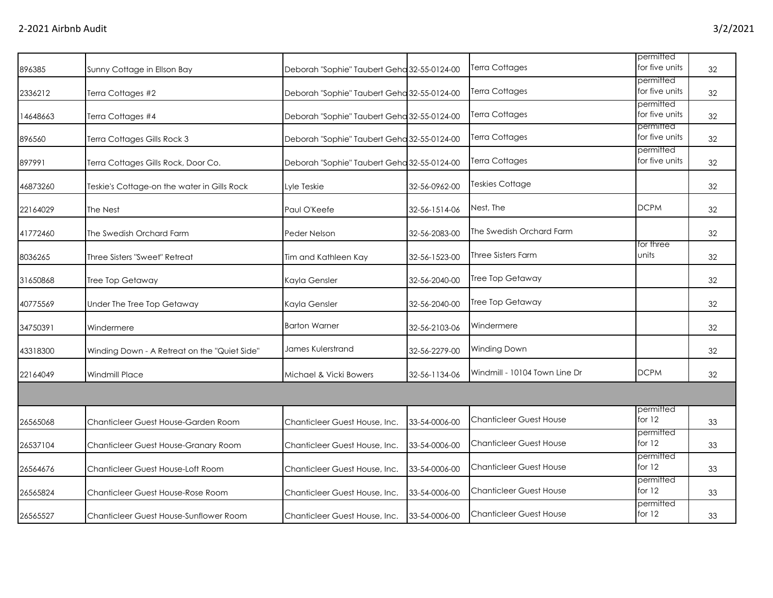| 896385   | Sunny Cottage in Ellson Bay                  | Deborah "Sophie" Taubert Geha 32-55-0124-00 |               | Terra Cottages                 | permitted<br>for five units | 32 |
|----------|----------------------------------------------|---------------------------------------------|---------------|--------------------------------|-----------------------------|----|
| 2336212  | Terra Cottages #2                            | Deborah "Sophie" Taubert Geha 32-55-0124-00 |               | Terra Cottages                 | permitted<br>for five units | 32 |
| 14648663 | Terra Cottages #4                            | Deborah "Sophie" Taubert Geha 32-55-0124-00 |               | Terra Cottages                 | permitted<br>for five units | 32 |
| 896560   | Terra Cottages Gills Rock 3                  | Deborah "Sophie" Taubert Geha 32-55-0124-00 |               | Terra Cottages                 | permitted<br>for five units | 32 |
| 897991   | Terra Cottages Gills Rock, Door Co.          | Deborah "Sophie" Taubert Geha 32-55-0124-00 |               | Terra Cottages                 | permitted<br>for five units | 32 |
| 46873260 | Teskie's Cottage-on the water in Gills Rock  | Lyle Teskie                                 | 32-56-0962-00 | <b>Teskies Cottage</b>         |                             | 32 |
| 22164029 | The Nest                                     | Paul O'Keefe                                | 32-56-1514-06 | Nest, The                      | <b>DCPM</b>                 | 32 |
| 41772460 | The Swedish Orchard Farm                     | Peder Nelson                                | 32-56-2083-00 | The Swedish Orchard Farm       |                             | 32 |
| 8036265  | Three Sisters "Sweet" Retreat                | Tim and Kathleen Kay                        | 32-56-1523-00 | <b>Three Sisters Farm</b>      | for three<br>units          | 32 |
| 31650868 | Tree Top Getaway                             | Kayla Gensler                               | 32-56-2040-00 | Tree Top Getaway               |                             | 32 |
| 40775569 | Under The Tree Top Getaway                   | Kayla Gensler                               | 32-56-2040-00 | Tree Top Getaway               |                             | 32 |
| 34750391 | Windermere                                   | <b>Barton Warner</b>                        | 32-56-2103-06 | Windermere                     |                             | 32 |
| 43318300 | Winding Down - A Retreat on the "Quiet Side" | James Kulerstrand                           | 32-56-2279-00 | Winding Down                   |                             | 32 |
| 22164049 | Windmill Place                               | Michael & Vicki Bowers                      | 32-56-1134-06 | Windmill - 10104 Town Line Dr  | <b>DCPM</b>                 | 32 |
|          |                                              |                                             |               |                                |                             |    |
| 26565068 | Chanticleer Guest House-Garden Room          | Chanticleer Guest House, Inc.               | 33-54-0006-00 | <b>Chanticleer Guest House</b> | permitted<br>for $12$       | 33 |
| 26537104 | Chanticleer Guest House-Granary Room         | Chanticleer Guest House, Inc.               | 33-54-0006-00 | <b>Chanticleer Guest House</b> | permitted<br>for 12         | 33 |
| 26564676 | Chanticleer Guest House-Loft Room            | Chanticleer Guest House, Inc.               | 33-54-0006-00 | <b>Chanticleer Guest House</b> | permitted<br>for 12         | 33 |
| 26565824 | Chanticleer Guest House-Rose Room            | Chanticleer Guest House, Inc.               | 33-54-0006-00 | <b>Chanticleer Guest House</b> | permitted<br>for 12         | 33 |
| 26565527 | Chanticleer Guest House-Sunflower Room       | Chanticleer Guest House, Inc.               | 33-54-0006-00 | <b>Chanticleer Guest House</b> | permitted<br>for 12         | 33 |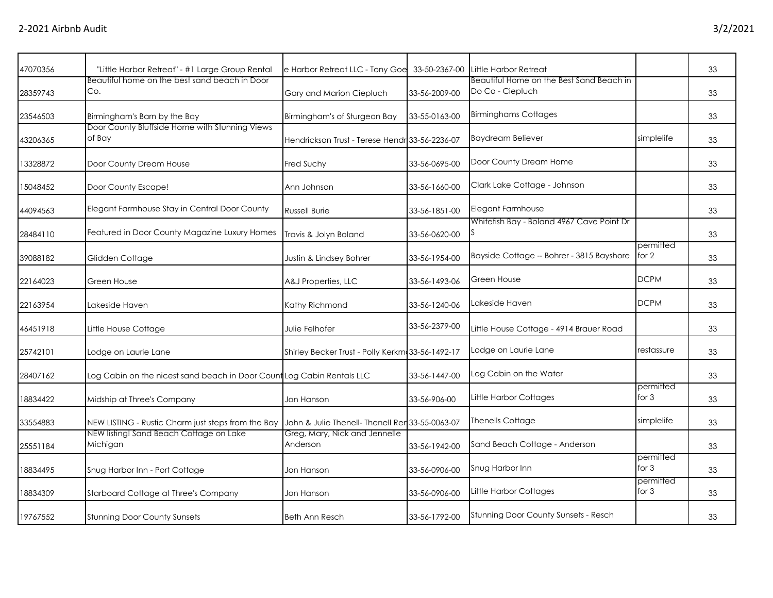| 47070356 | "Little Harbor Retreat" - #1 Large Group Rental                        | e Harbor Retreat LLC - Tony Goe                  | 33-50-2367-00 | Little Harbor Retreat                                        |                      | 33 |
|----------|------------------------------------------------------------------------|--------------------------------------------------|---------------|--------------------------------------------------------------|----------------------|----|
| 28359743 | Beautiful home on the best sand beach in Door<br>Co.                   | Gary and Marion Ciepluch                         | 33-56-2009-00 | Beautiful Home on the Best Sand Beach in<br>Do Co - Ciepluch |                      | 33 |
| 23546503 | Birmingham's Barn by the Bay                                           | Birmingham's of Sturgeon Bay                     | 33-55-0163-00 | <b>Birminghams Cottages</b>                                  |                      | 33 |
| 43206365 | Door County Bluffside Home with Stunning Views<br>of Bay               | Hendrickson Trust - Terese Hendr 33-56-2236-07   |               | <b>Baydream Believer</b>                                     | simplelife           | 33 |
| 13328872 | Door County Dream House                                                | Fred Suchy                                       | 33-56-0695-00 | Door County Dream Home                                       |                      | 33 |
| 15048452 | Door County Escape!                                                    | Ann Johnson                                      | 33-56-1660-00 | Clark Lake Cottage - Johnson                                 |                      | 33 |
| 44094563 | Elegant Farmhouse Stay in Central Door County                          | <b>Russell Burie</b>                             | 33-56-1851-00 | Elegant Farmhouse                                            |                      | 33 |
| 28484110 | Featured in Door County Magazine Luxury Homes                          | Travis & Jolyn Boland                            | 33-56-0620-00 | Whitefish Bay - Boland 4967 Cave Point Dr                    |                      | 33 |
| 39088182 | Glidden Cottage                                                        | Justin & Lindsey Bohrer                          | 33-56-1954-00 | Bayside Cottage -- Bohrer - 3815 Bayshore                    | permitted<br>for 2   | 33 |
| 22164023 | Green House                                                            | A&J Properties, LLC                              | 33-56-1493-06 | Green House                                                  | <b>DCPM</b>          | 33 |
| 22163954 | Lakeside Haven                                                         | Kathy Richmond                                   | 33-56-1240-06 | Lakeside Haven                                               | <b>DCPM</b>          | 33 |
| 46451918 | Little House Cottage                                                   | Julie Felhofer                                   | 33-56-2379-00 | Little House Cottage - 4914 Brauer Road                      |                      | 33 |
| 25742101 | Lodge on Laurie Lane                                                   | Shirley Becker Trust - Polly Kerkm 33-56-1492-17 |               | Lodge on Laurie Lane                                         | restassure           | 33 |
| 28407162 | Log Cabin on the nicest sand beach in Door Count Log Cabin Rentals LLC |                                                  | 33-56-1447-00 | Log Cabin on the Water                                       |                      | 33 |
| 18834422 | Midship at Three's Company                                             | Jon Hanson                                       | 33-56-906-00  | Little Harbor Cottages                                       | permitted<br>for $3$ | 33 |
| 33554883 | NEW LISTING - Rustic Charm just steps from the Bay                     | John & Julie Thenell- Thenell Rer 33-55-0063-07  |               | <b>Thenells Cottage</b>                                      | simplelife           | 33 |
| 25551184 | NEW listing! Sand Beach Cottage on Lake<br>Michigan                    | Greg, Mary, Nick and Jennelle<br>Anderson        | 33-56-1942-00 | Sand Beach Cottage - Anderson                                |                      | 33 |
| 18834495 | Snug Harbor Inn - Port Cottage                                         | Jon Hanson                                       | 33-56-0906-00 | Snug Harbor Inn                                              | permitted<br>for $3$ | 33 |
| 18834309 | Starboard Cottage at Three's Company                                   | Jon Hanson                                       | 33-56-0906-00 | Little Harbor Cottages                                       | permitted<br>for $3$ | 33 |
| 19767552 | <b>Stunning Door County Sunsets</b>                                    | <b>Beth Ann Resch</b>                            | 33-56-1792-00 | Stunning Door County Sunsets - Resch                         |                      | 33 |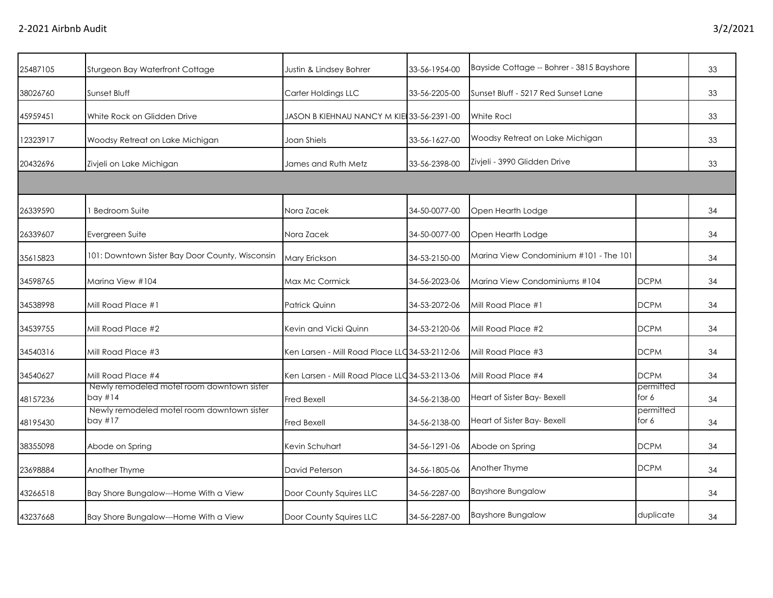| 25487105 | Sturgeon Bay Waterfront Cottage                         | Justin & Lindsey Bohrer                        | 33-56-1954-00 | Bayside Cottage -- Bohrer - 3815 Bayshore |                    | 33 |
|----------|---------------------------------------------------------|------------------------------------------------|---------------|-------------------------------------------|--------------------|----|
| 38026760 | Sunset Bluff                                            | Carter Holdings LLC                            | 33-56-2205-00 | Sunset Bluff - 5217 Red Sunset Lane       |                    | 33 |
| 45959451 | White Rock on Glidden Drive                             | JASON B KIEHNAU NANCY M KIEI33-56-2391-00      |               | White Rocl                                |                    | 33 |
| 12323917 | Woodsy Retreat on Lake Michigan                         | Joan Shiels                                    | 33-56-1627-00 | Woodsy Retreat on Lake Michigan           |                    | 33 |
| 20432696 | Zivjeli on Lake Michigan                                | James and Ruth Metz                            | 33-56-2398-00 | Zivjeli - 3990 Glidden Drive              |                    | 33 |
|          |                                                         |                                                |               |                                           |                    |    |
| 26339590 | <b>Bedroom Suite</b>                                    | Nora Zacek                                     | 34-50-0077-00 | Open Hearth Lodge                         |                    | 34 |
| 26339607 | Evergreen Suite                                         | Nora Zacek                                     | 34-50-0077-00 | Open Hearth Lodge                         |                    | 34 |
| 35615823 | 101: Downtown Sister Bay Door County, Wisconsin         | Mary Erickson                                  | 34-53-2150-00 | Marina View Condominium #101 - The 101    |                    | 34 |
| 34598765 | Marina View #104                                        | Max Mc Cormick                                 | 34-56-2023-06 | Marina View Condominiums #104             | <b>DCPM</b>        | 34 |
| 34538998 | Mill Road Place #1                                      | Patrick Quinn                                  | 34-53-2072-06 | Mill Road Place #1                        | <b>DCPM</b>        | 34 |
| 34539755 | Mill Road Place #2                                      | Kevin and Vicki Quinn                          | 34-53-2120-06 | Mill Road Place #2                        | <b>DCPM</b>        | 34 |
| 34540316 | Mill Road Place #3                                      | Ken Larsen - Mill Road Place LLC 34-53-2112-06 |               | Mill Road Place #3                        | <b>DCPM</b>        | 34 |
| 34540627 | Mill Road Place #4                                      | Ken Larsen - Mill Road Place LLC 34-53-2113-06 |               | Mill Road Place #4                        | <b>DCPM</b>        | 34 |
| 48157236 | Newly remodeled motel room downtown sister<br>bay $#14$ | Fred Bexell                                    | 34-56-2138-00 | Heart of Sister Bay- Bexell               | permitted<br>for 6 | 34 |
| 48195430 | Newly remodeled motel room downtown sister<br>bay $#17$ | Fred Bexell                                    | 34-56-2138-00 | Heart of Sister Bay- Bexell               | permitted<br>for 6 | 34 |
| 38355098 | Abode on Spring                                         | Kevin Schuhart                                 | 34-56-1291-06 | Abode on Spring                           | <b>DCPM</b>        | 34 |
| 23698884 | Another Thyme                                           | David Peterson                                 | 34-56-1805-06 | Another Thyme                             | <b>DCPM</b>        | 34 |
| 43266518 | Bay Shore Bungalow---Home With a View                   | Door County Squires LLC                        | 34-56-2287-00 | <b>Bayshore Bungalow</b>                  |                    | 34 |
| 43237668 | Bay Shore Bungalow---Home With a View                   | Door County Squires LLC                        | 34-56-2287-00 | <b>Bayshore Bungalow</b>                  | duplicate          | 34 |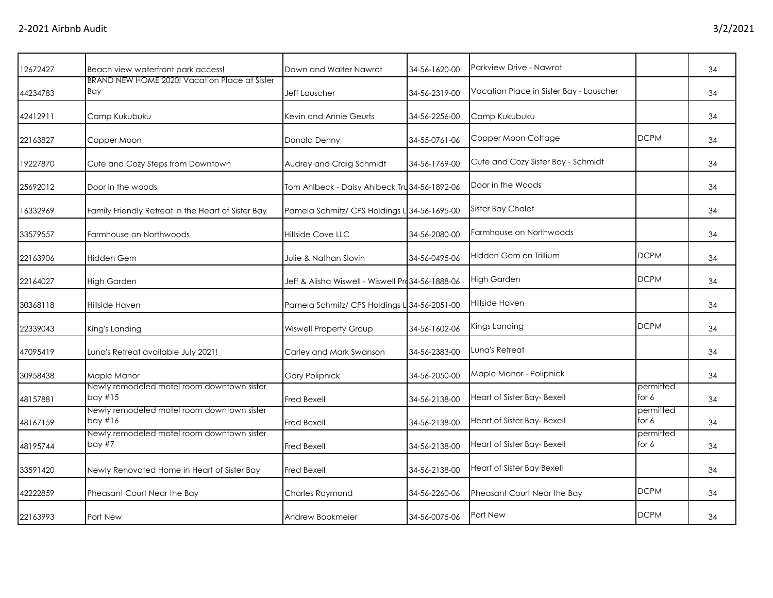| 12672427 | Beach view waterfront park access!                      | Dawn and Walter Nawrot                            | 34-56-1620-00 | Parkview Drive - Nawrot                 |                      | 34 |
|----------|---------------------------------------------------------|---------------------------------------------------|---------------|-----------------------------------------|----------------------|----|
| 44234783 | BRAND NEW HOME 2020! Vacation Place at Sister<br>Bay    | Jeff Lauscher                                     | 34-56-2319-00 | Vacation Place in Sister Bay - Lauscher |                      | 34 |
| 42412911 | Camp Kukubuku                                           | Kevin and Annie Geurts                            | 34-56-2256-00 | Camp Kukubuku                           |                      | 34 |
| 22163827 | Copper Moon                                             | <b>Donald Denny</b>                               | 34-55-0761-06 | Copper Moon Cottage                     | <b>DCPM</b>          | 34 |
| 19227870 | Cute and Cozy Steps from Downtown                       | Audrey and Craig Schmidt                          | 34-56-1769-00 | Cute and Cozy Sister Bay - Schmidt      |                      | 34 |
| 25692012 | Door in the woods                                       | Tom Ahlbeck - Daisy Ahlbeck Tru 34-56-1892-06     |               | Door in the Woods                       |                      | 34 |
| 16332969 | Family Friendly Retreat in the Heart of Sister Bay      | Pamela Schmitz/ CPS Holdings L 34-56-1695-00      |               | Sister Bay Chalet                       |                      | 34 |
| 33579557 | Farmhouse on Northwoods                                 | <b>Hillside Cove LLC</b>                          | 34-56-2080-00 | Farmhouse on Northwoods                 |                      | 34 |
| 22163906 | <b>Hidden Gem</b>                                       | Julie & Nathan Slovin                             | 34-56-0495-06 | Hidden Gem on Trillium                  | <b>DCPM</b>          | 34 |
| 22164027 | <b>High Garden</b>                                      | Jeff & Alisha Wiswell - Wiswell Pro 34-56-1888-06 |               | <b>High Garden</b>                      | <b>DCPM</b>          | 34 |
| 30368118 | Hillside Haven                                          | Pamela Schmitz/ CPS Holdings L 34-56-2051-00      |               | Hillside Haven                          |                      | 34 |
| 22339043 | King's Landing                                          | <b>Wiswell Property Group</b>                     | 34-56-1602-06 | Kings Landing                           | <b>DCPM</b>          | 34 |
| 47095419 | Luna's Retreat available July 2021!                     | Carley and Mark Swanson                           | 34-56-2383-00 | Luna's Retreat                          |                      | 34 |
| 30958438 | Maple Manor                                             | <b>Gary Polipnick</b>                             | 34-56-2050-00 | Maple Manor - Polipnick                 |                      | 34 |
| 48157881 | Newly remodeled motel room downtown sister<br>bay $#15$ | <b>Fred Bexell</b>                                | 34-56-2138-00 | Heart of Sister Bay- Bexell             | permitted<br>for $6$ | 34 |
| 48167159 | Newly remodeled motel room downtown sister<br>bay $#16$ | <b>Fred Bexell</b>                                | 34-56-2138-00 | Heart of Sister Bay- Bexell             | permitted<br>for $6$ | 34 |
| 48195744 | Newly remodeled motel room downtown sister<br>bay $#7$  | <b>Fred Bexell</b>                                | 34-56-2138-00 | Heart of Sister Bay- Bexell             | permitted<br>for 6   | 34 |
| 33591420 | Newly Renovated Home in Heart of Sister Bay             | <b>Fred Bexell</b>                                | 34-56-2138-00 | Heart of Sister Bay Bexell              |                      | 34 |
| 42222859 | Pheasant Court Near the Bay                             | <b>Charles Raymond</b>                            | 34-56-2260-06 | Pheasant Court Near the Bay             | <b>DCPM</b>          | 34 |
| 22163993 | Port New                                                | Andrew Bookmeier                                  | 34-56-0075-06 | Port New                                | <b>DCPM</b>          | 34 |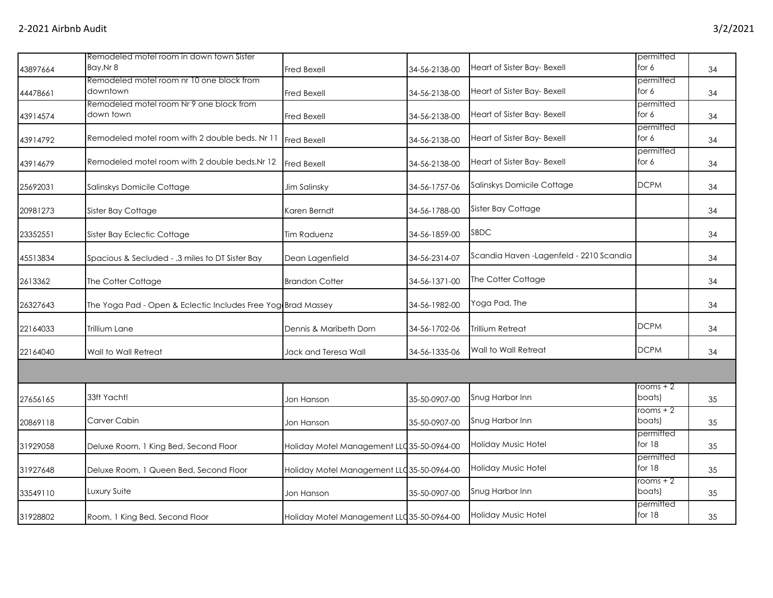| 43897664 | Remodeled motel room in down town Sister<br>Bay.Nr 8         | Fred Bexell                                | 34-56-2138-00 | Heart of Sister Bay- Bexell              | permitted<br>for 6    | 34 |
|----------|--------------------------------------------------------------|--------------------------------------------|---------------|------------------------------------------|-----------------------|----|
| 44478661 | Remodeled motel room nr 10 one block from<br>downtown        | Fred Bexell                                | 34-56-2138-00 | Heart of Sister Bay- Bexell              | permitted<br>for 6    | 34 |
| 43914574 | Remodeled motel room Nr 9 one block from<br>down town        | Fred Bexell                                | 34-56-2138-00 | Heart of Sister Bay- Bexell              | permitted<br>for $6$  | 34 |
| 43914792 | Remodeled motel room with 2 double beds. Nr 11               | Fred Bexell                                | 34-56-2138-00 | Heart of Sister Bay- Bexell              | permitted<br>for 6    | 34 |
| 43914679 | Remodeled motel room with 2 double beds. Nr 12               | Fred Bexell                                | 34-56-2138-00 | Heart of Sister Bay- Bexell              | permitted<br>for 6    | 34 |
| 25692031 | Salinskys Domicile Cottage                                   | Jim Salinsky                               | 34-56-1757-06 | Salinskys Domicile Cottage               | <b>DCPM</b>           | 34 |
| 20981273 | Sister Bay Cottage                                           | Karen Berndt                               | 34-56-1788-00 | Sister Bay Cottage                       |                       | 34 |
| 23352551 | Sister Bay Eclectic Cottage                                  | <b>Tim Raduenz</b>                         | 34-56-1859-00 | <b>SBDC</b>                              |                       | 34 |
| 45513834 | Spacious & Secluded - .3 miles to DT Sister Bay              | Dean Lagenfield                            | 34-56-2314-07 | Scandia Haven - Lagenfeld - 2210 Scandia |                       | 34 |
| 2613362  | The Cotter Cottage                                           | <b>Brandon Cotter</b>                      | 34-56-1371-00 | The Cotter Cottage                       |                       | 34 |
| 26327643 | The Yoga Pad - Open & Eclectic Includes Free Yog Brad Massey |                                            | 34-56-1982-00 | Yoga Pad, The                            |                       | 34 |
| 22164033 | Trillium Lane                                                | Dennis & Maribeth Dorn                     | 34-56-1702-06 | Trillium Retreat                         | <b>DCPM</b>           | 34 |
| 22164040 | Wall to Wall Retreat                                         | Jack and Teresa Wall                       | 34-56-1335-06 | Wall to Wall Retreat                     | <b>DCPM</b>           | 34 |
|          |                                                              |                                            |               |                                          |                       |    |
| 27656165 | 33ft Yacht!                                                  | Jon Hanson                                 | 35-50-0907-00 | Snug Harbor Inn                          | rooms + 2<br>boats)   | 35 |
| 20869118 | Carver Cabin                                                 | Jon Hanson                                 | 35-50-0907-00 | Snug Harbor Inn                          | rooms + 2<br>boats)   | 35 |
| 31929058 | Deluxe Room, 1 King Bed, Second Floor                        | Holiday Motel Management LLC 35-50-0964-00 |               | Holiday Music Hotel                      | permitted<br>for 18   | 35 |
| 31927648 | Deluxe Room, 1 Queen Bed, Second Floor                       | Holiday Motel Management LLC 35-50-0964-00 |               | Holiday Music Hotel                      | permitted<br>for 18   | 35 |
| 33549110 | Luxury Suite                                                 | Jon Hanson                                 | 35-50-0907-00 | Snug Harbor Inn                          | rooms + 2<br>boats)   | 35 |
| 31928802 | Room, 1 King Bed, Second Floor                               | Holiday Motel Management LLC 35-50-0964-00 |               | Holiday Music Hotel                      | permitted<br>for $18$ | 35 |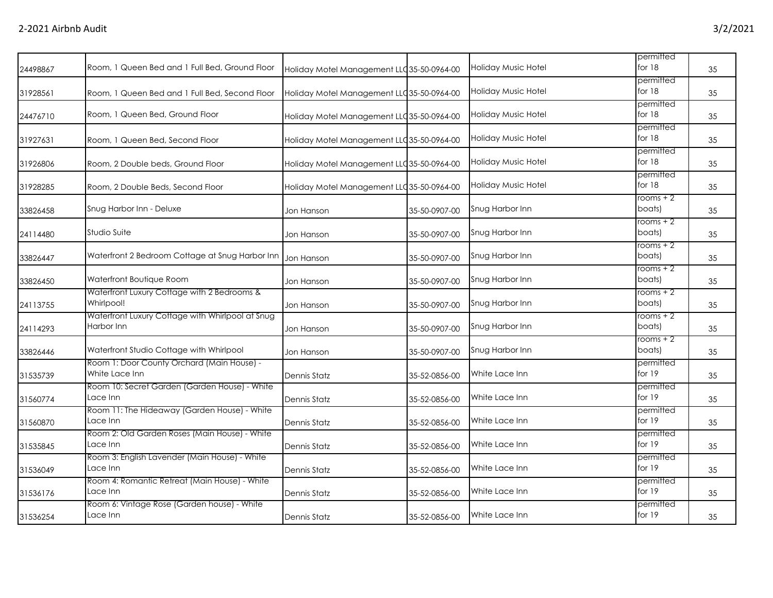| 24498867 | Room, 1 Queen Bed and 1 Full Bed, Ground Floor                 | Holiday Motel Management LLC 35-50-0964-00 |               | <b>Holiday Music Hotel</b> | permitted<br>for $18$ | 35 |
|----------|----------------------------------------------------------------|--------------------------------------------|---------------|----------------------------|-----------------------|----|
| 31928561 | Room, 1 Queen Bed and 1 Full Bed, Second Floor                 | Holiday Motel Management LLC 35-50-0964-00 |               | <b>Holiday Music Hotel</b> | permitted<br>for 18   | 35 |
| 24476710 | Room, 1 Queen Bed, Ground Floor                                | Holiday Motel Management LLC 35-50-0964-00 |               | <b>Holiday Music Hotel</b> | permitted<br>for 18   | 35 |
| 31927631 | Room, 1 Queen Bed, Second Floor                                | Holiday Motel Management LLC 35-50-0964-00 |               | Holiday Music Hotel        | permitted<br>for 18   | 35 |
| 31926806 | Room, 2 Double beds, Ground Floor                              | Holiday Motel Management LLC 35-50-0964-00 |               | <b>Holiday Music Hotel</b> | permitted<br>for 18   | 35 |
| 31928285 | Room, 2 Double Beds, Second Floor                              | Holiday Motel Management LLC 35-50-0964-00 |               | Holiday Music Hotel        | permitted<br>for $18$ | 35 |
| 33826458 | Snug Harbor Inn - Deluxe                                       | Jon Hanson                                 | 35-50-0907-00 | Snug Harbor Inn            | $rooms + 2$<br>boats) | 35 |
| 24114480 | Studio Suite                                                   | Jon Hanson                                 | 35-50-0907-00 | Snug Harbor Inn            | rooms + 2<br>boats)   | 35 |
| 33826447 | Waterfront 2 Bedroom Cottage at Snug Harbor Inn                | Jon Hanson                                 | 35-50-0907-00 | Snug Harbor Inn            | rooms $+2$<br>boats)  | 35 |
| 33826450 | Waterfront Boutique Room                                       | Jon Hanson                                 | 35-50-0907-00 | Snug Harbor Inn            | rooms + 2<br>boats)   | 35 |
| 24113755 | Waterfront Luxury Cottage with 2 Bedrooms &<br>Whirlpool!      | Jon Hanson                                 | 35-50-0907-00 | Snug Harbor Inn            | $rooms + 2$<br>boats) | 35 |
| 24114293 | Waterfront Luxury Cottage with Whirlpool at Snug<br>Harbor Inn | Jon Hanson                                 | 35-50-0907-00 | Snug Harbor Inn            | $rooms + 2$<br>boats) | 35 |
| 33826446 | Waterfront Studio Cottage with Whirlpool                       | Jon Hanson                                 | 35-50-0907-00 | Snug Harbor Inn            | rooms + 2<br>boats)   | 35 |
| 31535739 | Room 1: Door County Orchard (Main House) -<br>White Lace Inn   | Dennis Statz                               | 35-52-0856-00 | White Lace Inn             | permitted<br>for 19   | 35 |
| 31560774 | Room 10: Secret Garden (Garden House) - White<br>Lace Inn      | <b>Dennis Statz</b>                        | 35-52-0856-00 | White Lace Inn             | permitted<br>for $19$ | 35 |
| 31560870 | Room 11: The Hideaway (Garden House) - White<br>Lace Inn       | Dennis Statz                               | 35-52-0856-00 | White Lace Inn             | permitted<br>for 19   | 35 |
| 31535845 | Room 2: Old Garden Roses (Main House) - White<br>Lace Inn      | Dennis Statz                               | 35-52-0856-00 | White Lace Inn             | permitted<br>for 19   | 35 |
| 31536049 | Room 3: English Lavender (Main House) - White<br>Lace Inn      | Dennis Statz                               | 35-52-0856-00 | White Lace Inn             | permitted<br>for 19   | 35 |
| 31536176 | Room 4: Romantic Retreat (Main House) - White<br>Lace Inn      | Dennis Statz                               | 35-52-0856-00 | White Lace Inn             | permitted<br>for 19   | 35 |
| 31536254 | Room 6: Vintage Rose (Garden house) - White<br>Lace Inn        | <b>Dennis Statz</b>                        | 35-52-0856-00 | White Lace Inn             | permitted<br>for 19   | 35 |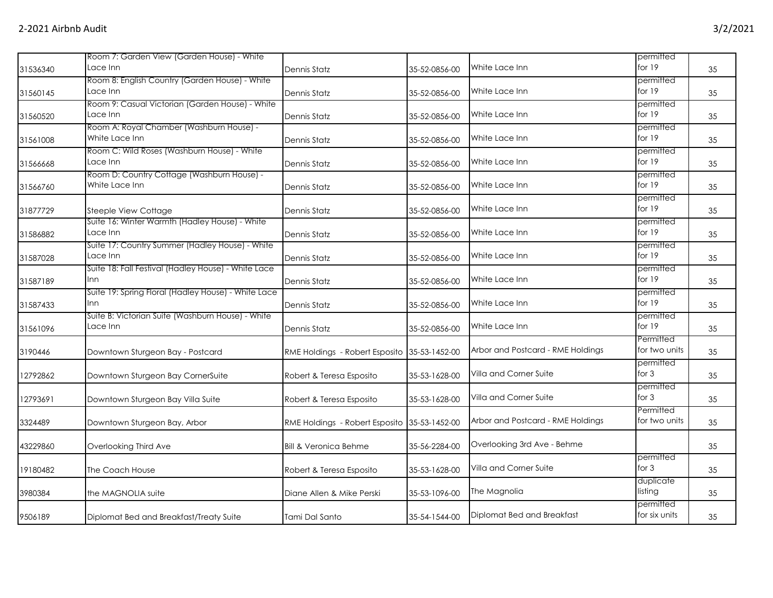|          | Room 7: Garden View (Garden House) - White                    |                                              |               |                                   | permitted                  |    |
|----------|---------------------------------------------------------------|----------------------------------------------|---------------|-----------------------------------|----------------------------|----|
| 31536340 | Lace Inn                                                      | Dennis Statz                                 | 35-52-0856-00 | White Lace Inn                    | for $19$                   | 35 |
| 31560145 | Room 8: English Country (Garden House) - White<br>Lace Inn    | Dennis Statz                                 | 35-52-0856-00 | White Lace Inn                    | permitted<br>for 19        | 35 |
| 31560520 | Room 9: Casual Victorian (Garden House) - White<br>Lace Inn   | Dennis Statz                                 | 35-52-0856-00 | White Lace Inn                    | permitted<br>for $19$      | 35 |
| 31561008 | Room A: Royal Chamber (Washburn House) -<br>White Lace Inn    | Dennis Statz                                 | 35-52-0856-00 | White Lace Inn                    | permitted<br>for 19        | 35 |
| 31566668 | Room C: Wild Roses (Washburn House) - White<br>Lace Inn       | Dennis Statz                                 | 35-52-0856-00 | White Lace Inn                    | permitted<br>for $19$      | 35 |
| 31566760 | Room D: Country Cottage (Washburn House) -<br>White Lace Inn  | Dennis Statz                                 | 35-52-0856-00 | White Lace Inn                    | permitted<br>for 19        | 35 |
| 31877729 | Steeple View Cottage                                          | Dennis Statz                                 | 35-52-0856-00 | White Lace Inn                    | permitted<br>for 19        | 35 |
| 31586882 | Suite 16: Winter Warmth (Hadley House) - White<br>Lace Inn    | Dennis Statz                                 | 35-52-0856-00 | White Lace Inn                    | permitted<br>for 19        | 35 |
| 31587028 | Suite 17: Country Summer (Hadley House) - White<br>Lace Inn   | Dennis Statz                                 | 35-52-0856-00 | White Lace Inn                    | permitted<br>for $19$      | 35 |
| 31587189 | Suite 18: Fall Festival (Hadley House) - White Lace<br>Inn    | Dennis Statz                                 | 35-52-0856-00 | White Lace Inn                    | permitted<br>for 19        | 35 |
| 31587433 | Suite 19: Spring Floral (Hadley House) - White Lace<br>Inn    | Dennis Statz                                 | 35-52-0856-00 | White Lace Inn                    | permitted<br>for 19        | 35 |
| 31561096 | Suite B: Victorian Suite (Washburn House) - White<br>Lace Inn | Dennis Statz                                 | 35-52-0856-00 | White Lace Inn                    | permitted<br>for $19$      | 35 |
| 3190446  | Downtown Sturgeon Bay - Postcard                              | RME Holdings - Robert Esposito 35-53-1452-00 |               | Arbor and Postcard - RME Holdings | Permitted<br>for two units | 35 |
| 12792862 | Downtown Sturgeon Bay CornerSuite                             | Robert & Teresa Esposito                     | 35-53-1628-00 | Villa and Corner Suite            | permitted<br>for $3$       | 35 |
| 12793691 | Downtown Sturgeon Bay Villa Suite                             | Robert & Teresa Esposito                     | 35-53-1628-00 | Villa and Corner Suite            | permitted<br>for $3$       | 35 |
| 3324489  | Downtown Sturgeon Bay, Arbor                                  | RME Holdings - Robert Esposito 35-53-1452-00 |               | Arbor and Postcard - RME Holdings | Permitted<br>for two units | 35 |
| 43229860 | Overlooking Third Ave                                         | Bill & Veronica Behme                        | 35-56-2284-00 | Overlooking 3rd Ave - Behme       |                            | 35 |
| 19180482 | The Coach House                                               | Robert & Teresa Esposito                     | 35-53-1628-00 | Villa and Corner Suite            | permitted<br>for $3$       | 35 |
| 3980384  | the MAGNOLIA suite                                            | Diane Allen & Mike Perski                    | 35-53-1096-00 | The Magnolia                      | duplicate<br>listing       | 35 |
| 9506189  | Diplomat Bed and Breakfast/Treaty Suite                       | Tami Dal Santo                               | 35-54-1544-00 | Diplomat Bed and Breakfast        | permitted<br>for six units | 35 |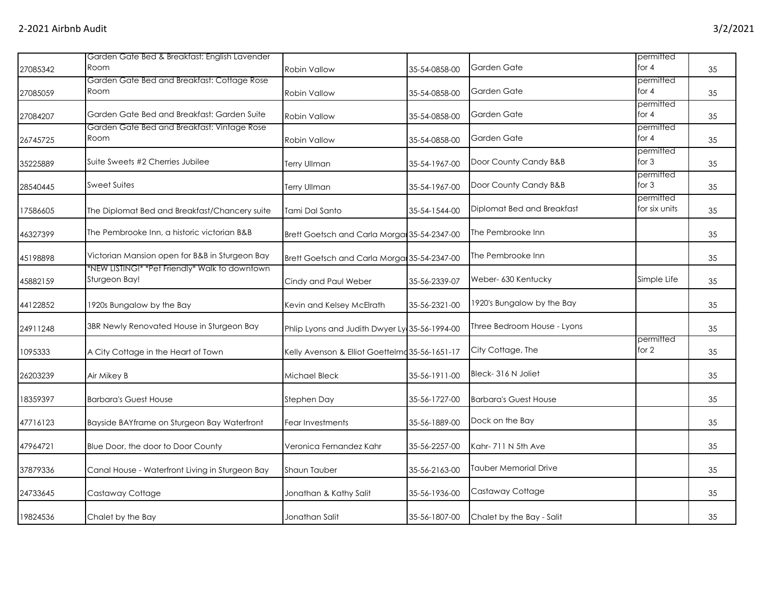|          | Garden Gate Bed & Breakfast: English Lavender                   |                                                |               |                              | permitted                  |    |
|----------|-----------------------------------------------------------------|------------------------------------------------|---------------|------------------------------|----------------------------|----|
| 27085342 | Room                                                            | <b>Robin Vallow</b>                            | 35-54-0858-00 | Garden Gate                  | for $4$                    | 35 |
| 27085059 | Garden Gate Bed and Breakfast: Cottage Rose<br>Room             | <b>Robin Vallow</b>                            | 35-54-0858-00 | Garden Gate                  | permitted<br>for $4$       | 35 |
| 27084207 | Garden Gate Bed and Breakfast: Garden Suite                     | Robin Vallow                                   | 35-54-0858-00 | Garden Gate                  | permitted<br>for $4$       | 35 |
| 26745725 | Garden Gate Bed and Breakfast: Vintage Rose<br>Room             | Robin Vallow                                   | 35-54-0858-00 | Garden Gate                  | permitted<br>for $4$       | 35 |
| 35225889 | Suite Sweets #2 Cherries Jubilee                                | <b>Terry Ullman</b>                            | 35-54-1967-00 | Door County Candy B&B        | permitted<br>for $3$       | 35 |
| 28540445 | <b>Sweet Suites</b>                                             | <b>Terry Ullman</b>                            | 35-54-1967-00 | Door County Candy B&B        | permitted<br>for $3$       | 35 |
| 17586605 | The Diplomat Bed and Breakfast/Chancery suite                   | Tami Dal Santo                                 | 35-54-1544-00 | Diplomat Bed and Breakfast   | permitted<br>for six units | 35 |
| 46327399 | The Pembrooke Inn, a historic victorian B&B                     | Brett Goetsch and Carla Morgan 35-54-2347-00   |               | The Pembrooke Inn            |                            | 35 |
| 45198898 | Victorian Mansion open for B&B in Sturgeon Bay                  | Brett Goetsch and Carla Morga 35-54-2347-00    |               | The Pembrooke Inn            |                            | 35 |
| 45882159 | *NEW LISTING!* *Pet Friendly* Walk to downtown<br>Sturgeon Bay! | Cindy and Paul Weber                           | 35-56-2339-07 | Weber- 630 Kentucky          | Simple Life                | 35 |
| 44122852 | 1920s Bungalow by the Bay                                       | Kevin and Kelsey McElrath                      | 35-56-2321-00 | 1920's Bungalow by the Bay   |                            | 35 |
| 24911248 | 3BR Newly Renovated House in Sturgeon Bay                       | Phlip Lyons and Judith Dwyer Ly 35-56-1994-00  |               | Three Bedroom House - Lyons  |                            | 35 |
| 1095333  | A City Cottage in the Heart of Town                             | Kelly Avenson & Elliot Goettelmd 35-56-1651-17 |               | City Cottage, The            | permitted<br>for 2         | 35 |
| 26203239 | Air Mikey B                                                     | Michael Bleck                                  | 35-56-1911-00 | Bleck-316 N Joliet           |                            | 35 |
| 18359397 | <b>Barbara's Guest House</b>                                    | Stephen Day                                    | 35-56-1727-00 | <b>Barbara's Guest House</b> |                            | 35 |
| 47716123 | Bayside BAYframe on Sturgeon Bay Waterfront                     | Fear Investments                               | 35-56-1889-00 | Dock on the Bay              |                            | 35 |
| 47964721 | Blue Door, the door to Door County                              | Veronica Fernandez Kahr                        | 35-56-2257-00 | Kahr- 711 N 5th Ave          |                            | 35 |
| 37879336 | Canal House - Waterfront Living in Sturgeon Bay                 | Shaun Tauber                                   | 35-56-2163-00 | <b>Tauber Memorial Drive</b> |                            | 35 |
| 24733645 | Castaway Cottage                                                | Jonathan & Kathy Salit                         | 35-56-1936-00 | Castaway Cottage             |                            | 35 |
| 19824536 | Chalet by the Bay                                               | Jonathan Salit                                 | 35-56-1807-00 | Chalet by the Bay - Salit    |                            | 35 |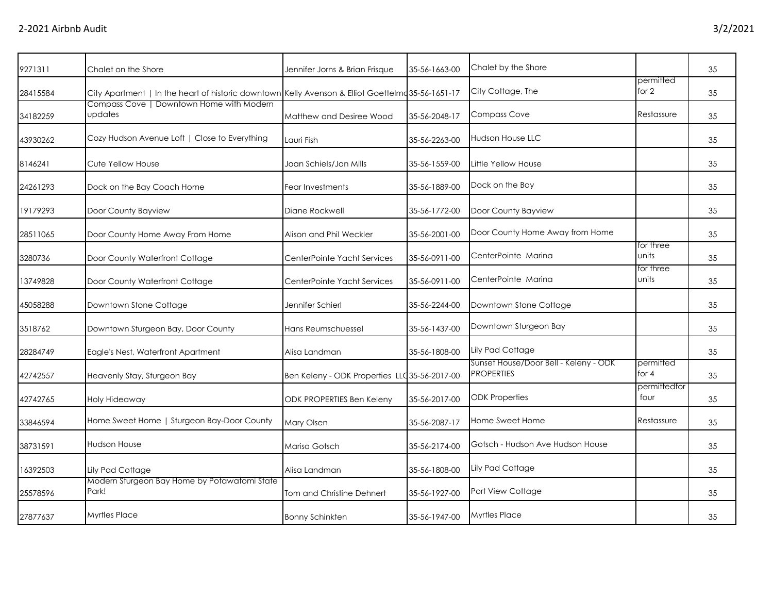| 9271311  | Chalet on the Shore                                                                              | Jennifer Jorns & Brian Frisque                | 35-56-1663-00 | Chalet by the Shore                                        |                      | 35 |
|----------|--------------------------------------------------------------------------------------------------|-----------------------------------------------|---------------|------------------------------------------------------------|----------------------|----|
| 28415584 | City Apartment   In the heart of historic downtown Kelly Avenson & Elliot Goettelm 35-56-1651-17 |                                               |               | City Cottage, The                                          | permitted<br>for 2   | 35 |
| 34182259 | Compass Cove   Downtown Home with Modern<br>updates                                              | Matthew and Desiree Wood                      | 35-56-2048-17 | Compass Cove                                               | Restassure           | 35 |
| 43930262 | Cozy Hudson Avenue Loft   Close to Everything                                                    | Lauri Fish                                    | 35-56-2263-00 | Hudson House LLC                                           |                      | 35 |
| 8146241  | Cute Yellow House                                                                                | Joan Schiels/Jan Mills                        | 35-56-1559-00 | Little Yellow House                                        |                      | 35 |
| 24261293 | Dock on the Bay Coach Home                                                                       | Fear Investments                              | 35-56-1889-00 | Dock on the Bay                                            |                      | 35 |
| 19179293 | Door County Bayview                                                                              | Diane Rockwell                                | 35-56-1772-00 | Door County Bayview                                        |                      | 35 |
| 28511065 | Door County Home Away From Home                                                                  | Alison and Phil Weckler                       | 35-56-2001-00 | Door County Home Away from Home                            |                      | 35 |
| 3280736  | Door County Waterfront Cottage                                                                   | CenterPointe Yacht Services                   | 35-56-0911-00 | CenterPointe Marina                                        | for three<br>units   | 35 |
| 13749828 | Door County Waterfront Cottage                                                                   | CenterPointe Yacht Services                   | 35-56-0911-00 | CenterPointe Marina                                        | for three<br>units   | 35 |
| 45058288 | Downtown Stone Cottage                                                                           | Jennifer Schierl                              | 35-56-2244-00 | Downtown Stone Cottage                                     |                      | 35 |
| 3518762  | Downtown Sturgeon Bay, Door County                                                               | Hans Reumschuessel                            | 35-56-1437-00 | Downtown Sturgeon Bay                                      |                      | 35 |
| 28284749 | Eagle's Nest, Waterfront Apartment                                                               | Alisa Landman                                 | 35-56-1808-00 | Lily Pad Cottage                                           |                      | 35 |
| 42742557 | Heavenly Stay, Sturgeon Bay                                                                      | Ben Keleny - ODK Properties LLC 35-56-2017-00 |               | Sunset House/Door Bell - Keleny - ODK<br><b>PROPERTIES</b> | permitted<br>for $4$ | 35 |
| 42742765 | Holy Hideaway                                                                                    | <b>ODK PROPERTIES Ben Keleny</b>              | 35-56-2017-00 | <b>ODK Properties</b>                                      | permittedfor<br>four | 35 |
| 33846594 | Home Sweet Home   Sturgeon Bay-Door County                                                       | Mary Olsen                                    | 35-56-2087-17 | Home Sweet Home                                            | Restassure           | 35 |
| 38731591 | <b>Hudson House</b>                                                                              | Marisa Gotsch                                 | 35-56-2174-00 | Gotsch - Hudson Ave Hudson House                           |                      | 35 |
| 16392503 | Lily Pad Cottage                                                                                 | Alisa Landman                                 | 35-56-1808-00 | Lily Pad Cottage                                           |                      | 35 |
| 25578596 | Modern Sturgeon Bay Home by Potawatomi State<br>Park!                                            | Tom and Christine Dehnert                     | 35-56-1927-00 | Port View Cottage                                          |                      | 35 |
| 27877637 | Myrtles Place                                                                                    | <b>Bonny Schinkten</b>                        | 35-56-1947-00 | <b>Myrtles Place</b>                                       |                      | 35 |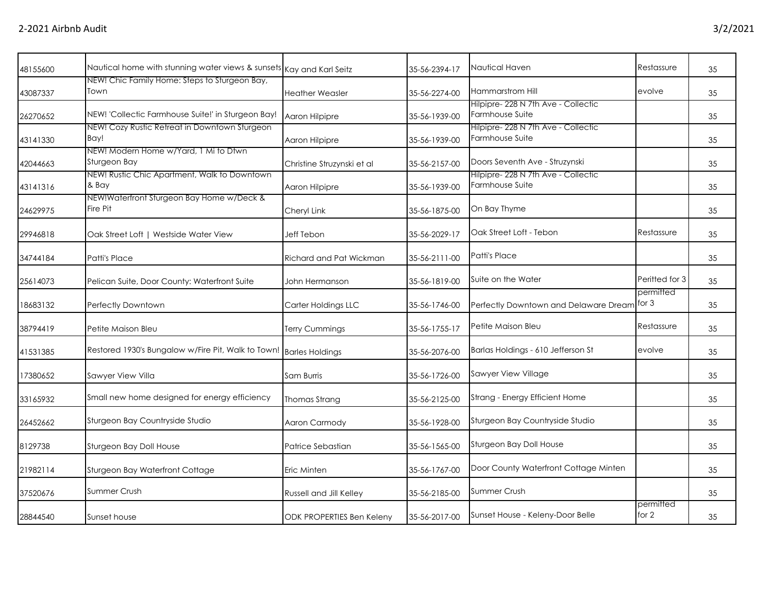|                                                                                                                                                                                                                                                                                                                                                                                                                                                                                                            | 35-56-2394-17                                                                                                                                | Nautical Haven                                         | Restassure                                                                | 35                                                 |
|------------------------------------------------------------------------------------------------------------------------------------------------------------------------------------------------------------------------------------------------------------------------------------------------------------------------------------------------------------------------------------------------------------------------------------------------------------------------------------------------------------|----------------------------------------------------------------------------------------------------------------------------------------------|--------------------------------------------------------|---------------------------------------------------------------------------|----------------------------------------------------|
| <b>Heather Weasler</b>                                                                                                                                                                                                                                                                                                                                                                                                                                                                                     | 35-56-2274-00                                                                                                                                | Hammarstrom Hill                                       | evolve                                                                    | 35                                                 |
| Aaron Hilpipre                                                                                                                                                                                                                                                                                                                                                                                                                                                                                             | 35-56-1939-00                                                                                                                                | Hilpipre- 228 N 7th Ave - Collectic<br>Farmhouse Suite |                                                                           | 35                                                 |
| Aaron Hilpipre                                                                                                                                                                                                                                                                                                                                                                                                                                                                                             | 35-56-1939-00                                                                                                                                | Farmhouse Suite                                        |                                                                           | 35                                                 |
| Christine Struzynski et al                                                                                                                                                                                                                                                                                                                                                                                                                                                                                 | 35-56-2157-00                                                                                                                                | Doors Seventh Ave - Struzynski                         |                                                                           | 35                                                 |
| Aaron Hilpipre                                                                                                                                                                                                                                                                                                                                                                                                                                                                                             | 35-56-1939-00                                                                                                                                | Farmhouse Suite                                        |                                                                           | 35                                                 |
| Cheryl Link                                                                                                                                                                                                                                                                                                                                                                                                                                                                                                | 35-56-1875-00                                                                                                                                | On Bay Thyme                                           |                                                                           | 35                                                 |
| Jeff Tebon                                                                                                                                                                                                                                                                                                                                                                                                                                                                                                 | 35-56-2029-17                                                                                                                                | Oak Street Loft - Tebon                                | Restassure                                                                | 35                                                 |
| Richard and Pat Wickman                                                                                                                                                                                                                                                                                                                                                                                                                                                                                    | 35-56-2111-00                                                                                                                                | Patti's Place                                          |                                                                           | 35                                                 |
| John Hermanson                                                                                                                                                                                                                                                                                                                                                                                                                                                                                             | 35-56-1819-00                                                                                                                                | Suite on the Water                                     | Peritted for 3                                                            | 35                                                 |
| Carter Holdings LLC                                                                                                                                                                                                                                                                                                                                                                                                                                                                                        | 35-56-1746-00                                                                                                                                |                                                        | for 3                                                                     | 35                                                 |
| <b>Terry Cummings</b>                                                                                                                                                                                                                                                                                                                                                                                                                                                                                      | 35-56-1755-17                                                                                                                                | Petite Maison Bleu                                     | Restassure                                                                | 35                                                 |
|                                                                                                                                                                                                                                                                                                                                                                                                                                                                                                            | 35-56-2076-00                                                                                                                                | Barlas Holdings - 610 Jefferson St                     | evolve                                                                    | 35                                                 |
| Sam Burris                                                                                                                                                                                                                                                                                                                                                                                                                                                                                                 | 35-56-1726-00                                                                                                                                | Sawyer View Village                                    |                                                                           | 35                                                 |
| Thomas Strang                                                                                                                                                                                                                                                                                                                                                                                                                                                                                              | 35-56-2125-00                                                                                                                                | Strang - Energy Efficient Home                         |                                                                           | 35                                                 |
| Aaron Carmody                                                                                                                                                                                                                                                                                                                                                                                                                                                                                              | 35-56-1928-00                                                                                                                                | Sturgeon Bay Countryside Studio                        |                                                                           | 35                                                 |
| Patrice Sebastian                                                                                                                                                                                                                                                                                                                                                                                                                                                                                          | 35-56-1565-00                                                                                                                                | Sturgeon Bay Doll House                                |                                                                           | 35                                                 |
| Eric Minten                                                                                                                                                                                                                                                                                                                                                                                                                                                                                                | 35-56-1767-00                                                                                                                                | Door County Waterfront Cottage Minten                  |                                                                           | 35                                                 |
| Russell and Jill Kelley                                                                                                                                                                                                                                                                                                                                                                                                                                                                                    | 35-56-2185-00                                                                                                                                | Summer Crush                                           |                                                                           | 35                                                 |
| <b>ODK PROPERTIES Ben Keleny</b>                                                                                                                                                                                                                                                                                                                                                                                                                                                                           | 35-56-2017-00                                                                                                                                | Sunset House - Keleny-Door Belle                       | permitted<br>for $2$                                                      | 35                                                 |
| NEW! Chic Family Home: Steps to Sturgeon Bay,<br>NEW! 'Collectic Farmhouse Suite!' in Sturgeon Bay!<br>NEW! Cozy Rustic Retreat in Downtown Sturgeon<br>NEW! Modern Home w/Yard, 1 Mi to Dtwn<br>NEW! Rustic Chic Apartment, Walk to Downtown<br>NEW!Waterfront Sturgeon Bay Home w/Deck &<br>Oak Street Loft   Westside Water View<br>Pelican Suite, Door County: Waterfront Suite<br>Small new home designed for energy efficiency<br>Sturgeon Bay Countryside Studio<br>Sturgeon Bay Waterfront Cottage | Nautical home with stunning water views & sunsets Kay and Karl Seitz<br>Restored 1930's Bungalow w/Fire Pit, Walk to Town!   Barles Holdings |                                                        | Hilpipre- 228 N 7th Ave - Collectic<br>Hilpipre-228 N 7th Ave - Collectic | permitted<br>Perfectly Downtown and Delaware Dream |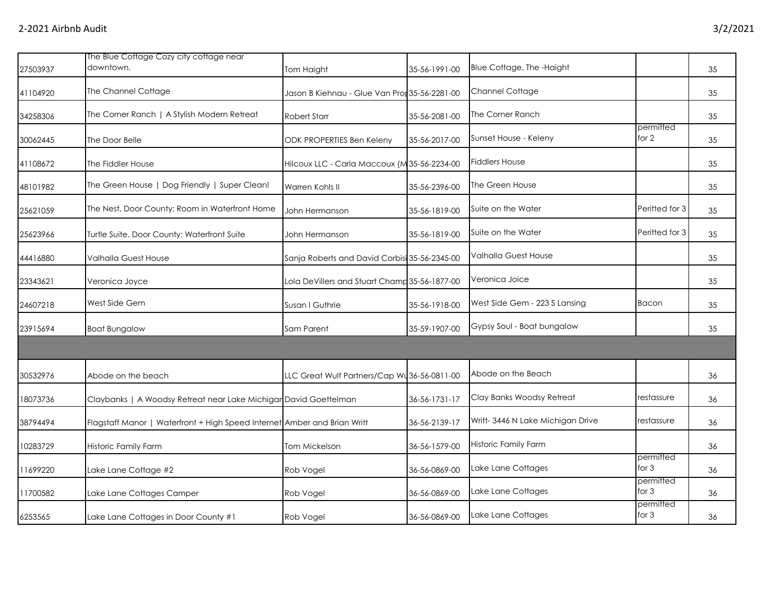|          | The Blue Cottage Cozy city cottage near                                  |                                               |               |                                   |                      |    |
|----------|--------------------------------------------------------------------------|-----------------------------------------------|---------------|-----------------------------------|----------------------|----|
| 27503937 | downtown.                                                                | Tom Haight                                    | 35-56-1991-00 | Blue Cottage, The -Haight         |                      | 35 |
| 41104920 | The Channel Cottage                                                      | Jason B Kiehnau - Glue Van Pror 35-56-2281-00 |               | Channel Cottage                   |                      | 35 |
| 34258306 | The Corner Ranch   A Stylish Modern Retreat                              | <b>Robert Starr</b>                           | 35-56-2081-00 | The Corner Ranch                  |                      | 35 |
| 30062445 | The Door Belle                                                           | <b>ODK PROPERTIES Ben Keleny</b>              | 35-56-2017-00 | Sunset House - Keleny             | permitted<br>for 2   | 35 |
| 41108672 | The Fiddler House                                                        | Hilcoux LLC - Carla Maccoux (M35-56-2234-00   |               | <b>Fiddlers House</b>             |                      | 35 |
| 48101982 | The Green House   Dog Friendly   Super Clean!                            | Warren Kohls II                               | 35-56-2396-00 | The Green House                   |                      | 35 |
| 25621059 | The Nest, Door County: Room in Waterfront Home                           | John Hermanson                                | 35-56-1819-00 | Suite on the Water                | Peritted for 3       | 35 |
| 25623966 | Turtle Suite, Door County: Waterfront Suite                              | John Hermanson                                | 35-56-1819-00 | Suite on the Water                | Peritted for 3       | 35 |
| 44416880 | Valhalla Guest House                                                     | Sanja Roberts and David Corbisi 35-56-2345-00 |               | Valhalla Guest House              |                      | 35 |
| 23343621 | Veronica Joyce                                                           | Lola DeVillers and Stuart Champ 35-56-1877-00 |               | Veronica Joice                    |                      | 35 |
| 24607218 | West Side Gem                                                            | Susan I Guthrie                               | 35-56-1918-00 | West Side Gem - 223 S Lansing     | <b>Bacon</b>         | 35 |
| 23915694 | <b>Boat Bungalow</b>                                                     | <b>Sam Parent</b>                             | 35-59-1907-00 | Gypsy Soul - Boat bungalow        |                      | 35 |
|          |                                                                          |                                               |               |                                   |                      |    |
| 30532976 | Abode on the beach                                                       | LLC Great Wulf Partners/Cap Wu 36-56-0811-00  |               | Abode on the Beach                |                      | 36 |
| 18073736 | Claybanks   A Woodsy Retreat near Lake Michigar David Goettelman         |                                               | 36-56-1731-17 | Clay Banks Woodsy Retreat         | restassure           | 36 |
| 38794494 | Flagstaff Manor   Waterfront + High Speed Internet Amber and Brian Writt |                                               | 36-56-2139-17 | Writt- 3446 N Lake Michigan Drive | restassure           | 36 |
| 10283729 | Historic Family Farm                                                     | Tom Mickelson                                 | 36-56-1579-00 | <b>Historic Family Farm</b>       |                      | 36 |
| 11699220 | Lake Lane Cottage #2                                                     | Rob Vogel                                     | 36-56-0869-00 | Lake Lane Cottages                | permitted<br>for $3$ | 36 |
| 1700582  | Lake Lane Cottages Camper                                                | Rob Vogel                                     | 36-56-0869-00 | Lake Lane Cottages                | permitted<br>for $3$ | 36 |
| 6253565  | Lake Lane Cottages in Door County #1                                     | Rob Vogel                                     | 36-56-0869-00 | Lake Lane Cottages                | permitted<br>for 3   | 36 |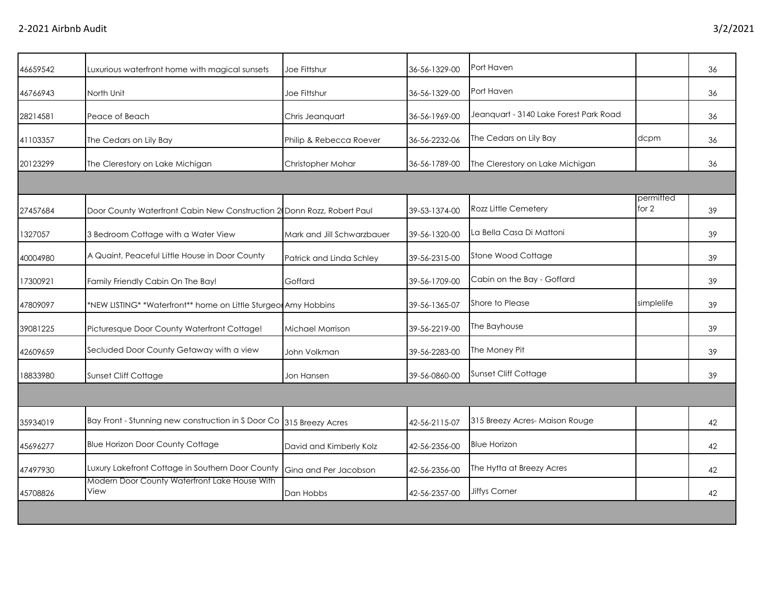| 46659542 | Luxurious waterfront home with magical sunsets                         | Joe Fittshur               | 36-56-1329-00 | Port Haven                             |                    | 36 |
|----------|------------------------------------------------------------------------|----------------------------|---------------|----------------------------------------|--------------------|----|
| 46766943 | North Unit                                                             | Joe Fittshur               | 36-56-1329-00 | Port Haven                             |                    | 36 |
| 28214581 | Peace of Beach                                                         | Chris Jeanquart            | 36-56-1969-00 | Jeanquart - 3140 Lake Forest Park Road |                    | 36 |
| 41103357 | The Cedars on Lily Bay                                                 | Philip & Rebecca Roever    | 36-56-2232-06 | The Cedars on Lily Bay                 | dcpm               | 36 |
| 20123299 | The Clerestory on Lake Michigan                                        | Christopher Mohar          | 36-56-1789-00 | The Clerestory on Lake Michigan        |                    | 36 |
|          |                                                                        |                            |               |                                        |                    |    |
| 27457684 | Door County Waterfront Cabin New Construction 2 Donn Rozz, Robert Paul |                            | 39-53-1374-00 | Rozz Little Cemetery                   | permitted<br>for 2 | 39 |
| 1327057  | 3 Bedroom Cottage with a Water View                                    | Mark and Jill Schwarzbauer | 39-56-1320-00 | La Bella Casa Di Mattoni               |                    | 39 |
| 40004980 | A Quaint, Peaceful Little House in Door County                         | Patrick and Linda Schley   | 39-56-2315-00 | Stone Wood Cottage                     |                    | 39 |
| 17300921 | Family Friendly Cabin On The Bay!                                      | Goffard                    | 39-56-1709-00 | Cabin on the Bay - Goffard             |                    | 39 |
| 47809097 | *NEW LISTING* *Waterfront** home on Little Sturgeon Amy Hobbins        |                            | 39-56-1365-07 | Shore to Please                        | simplelife         | 39 |
| 39081225 | Picturesque Door County Waterfront Cottage!                            | Michael Morrison           | 39-56-2219-00 | The Bayhouse                           |                    | 39 |
| 42609659 | Secluded Door County Getaway with a view                               | John Volkman               | 39-56-2283-00 | The Money Pit                          |                    | 39 |
| 18833980 | Sunset Cliff Cottage                                                   | Jon Hansen                 | 39-56-0860-00 | <b>Sunset Cliff Cottage</b>            |                    | 39 |
|          |                                                                        |                            |               |                                        |                    |    |
| 35934019 | Bay Front - Stunning new construction in S Door Co                     | 315 Breezy Acres           | 42-56-2115-07 | 315 Breezy Acres- Maison Rouge         |                    | 42 |
| 45696277 | <b>Blue Horizon Door County Cottage</b>                                | David and Kimberly Kolz    | 42-56-2356-00 | <b>Blue Horizon</b>                    |                    | 42 |
| 47497930 | Luxury Lakefront Cottage in Southern Door County                       | Gina and Per Jacobson      | 42-56-2356-00 | The Hytta at Breezy Acres              |                    | 42 |
| 45708826 | Modern Door County Waterfront Lake House With<br>View                  | Dan Hobbs                  | 42-56-2357-00 | Jiffys Corner                          |                    | 42 |
|          |                                                                        |                            |               |                                        |                    |    |
|          |                                                                        |                            |               |                                        |                    |    |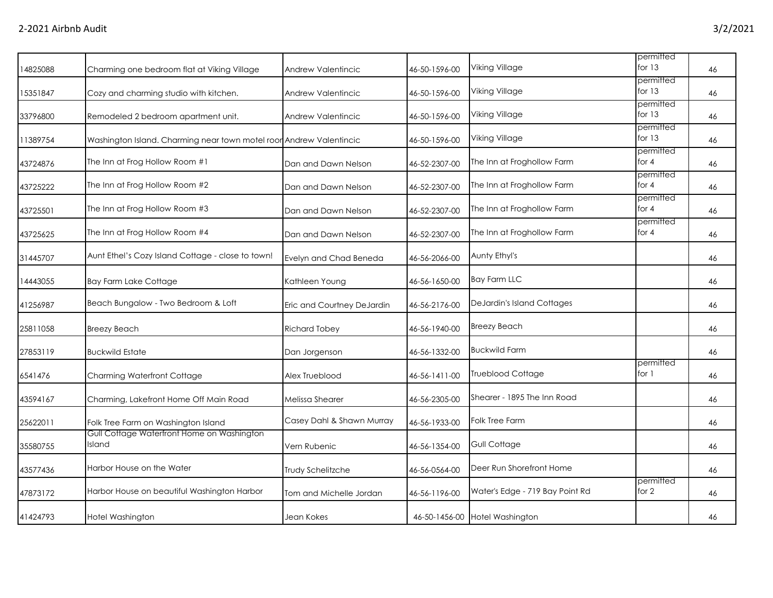| Charming one bedroom flat at Viking Village       | Andrew Valentincic                         | 46-50-1596-00                                                       | Viking Village                  | for $13$                       | 46                     |
|---------------------------------------------------|--------------------------------------------|---------------------------------------------------------------------|---------------------------------|--------------------------------|------------------------|
| Cozy and charming studio with kitchen.            | Andrew Valentincic                         | 46-50-1596-00                                                       | Viking Village                  | for $13$                       | 46                     |
| Remodeled 2 bedroom apartment unit.               | <b>Andrew Valentincic</b>                  | 46-50-1596-00                                                       | Viking Village                  | permitted<br>for 13            | 46                     |
|                                                   |                                            | 46-50-1596-00                                                       | Viking Village                  | permitted<br>for $13$          | 46                     |
| The Inn at Frog Hollow Room #1                    | Dan and Dawn Nelson                        | 46-52-2307-00                                                       | The Inn at Froghollow Farm      | permitted<br>for $4$           | 46                     |
| The Inn at Frog Hollow Room #2                    | Dan and Dawn Nelson                        | 46-52-2307-00                                                       | The Inn at Froghollow Farm      | permitted<br>for $4$           | 46                     |
| The Inn at Frog Hollow Room #3                    | Dan and Dawn Nelson                        | 46-52-2307-00                                                       | The Inn at Froghollow Farm      | permitted<br>for $4$           | 46                     |
| The Inn at Frog Hollow Room #4                    | Dan and Dawn Nelson                        | 46-52-2307-00                                                       | The Inn at Froghollow Farm      | permitted<br>for $4$           | 46                     |
| Aunt Ethel's Cozy Island Cottage - close to town! | Evelyn and Chad Beneda                     | 46-56-2066-00                                                       | Aunty Ethyl's                   |                                | 46                     |
| <b>Bay Farm Lake Cottage</b>                      | Kathleen Young                             | 46-56-1650-00                                                       | <b>Bay Farm LLC</b>             |                                | 46                     |
| Beach Bungalow - Two Bedroom & Loft               | Eric and Courtney DeJardin                 | 46-56-2176-00                                                       | DeJardin's Island Cottages      |                                | 46                     |
| <b>Breezy Beach</b>                               | <b>Richard Tobey</b>                       | 46-56-1940-00                                                       | <b>Breezy Beach</b>             |                                | 46                     |
| <b>Buckwild Estate</b>                            | Dan Jorgenson                              | 46-56-1332-00                                                       | <b>Buckwild Farm</b>            |                                | 46                     |
| Charming Waterfront Cottage                       | Alex Trueblood                             | 46-56-1411-00                                                       | <b>Trueblood Cottage</b>        | permitted<br>for 1             | 46                     |
| Charming, Lakefront Home Off Main Road            | Melissa Shearer                            | 46-56-2305-00                                                       | Shearer - 1895 The Inn Road     |                                | 46                     |
| Folk Tree Farm on Washington Island               | Casey Dahl & Shawn Murray                  | 46-56-1933-00                                                       | Folk Tree Farm                  |                                | 46                     |
| Island                                            | Vern Rubenic                               | 46-56-1354-00                                                       | <b>Gull Cottage</b>             |                                | 46                     |
| Harbor House on the Water                         | Trudy Schelitzche                          | 46-56-0564-00                                                       | Deer Run Shorefront Home        |                                | 46                     |
| Harbor House on beautiful Washington Harbor       | Tom and Michelle Jordan                    | 46-56-1196-00                                                       | Water's Edge - 719 Bay Point Rd | permitted<br>for $2$           | 46                     |
| Hotel Washington                                  | Jean Kokes                                 |                                                                     |                                 |                                | 46                     |
|                                                   | Gull Cottage Waterfront Home on Washington | Washington Island. Charming near town motel roor Andrew Valentincic |                                 | 46-50-1456-00 Hotel Washington | permitted<br>permitted |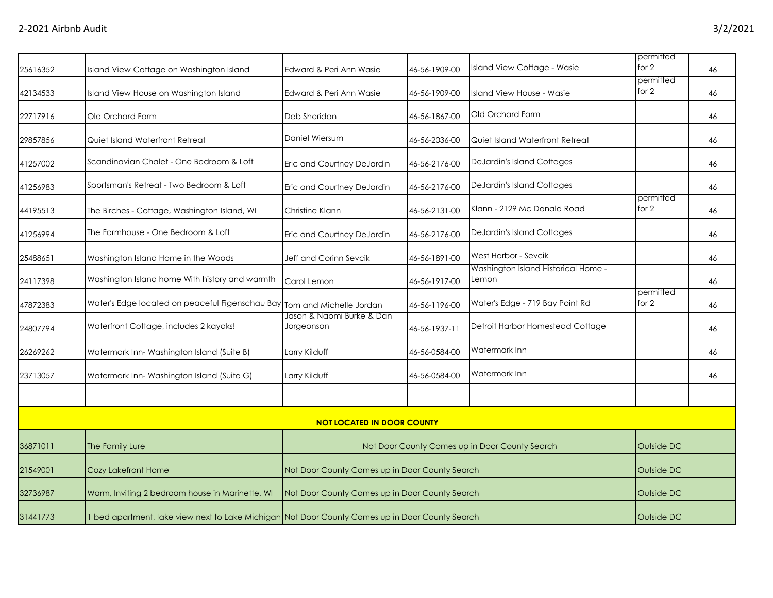|          |                                                                                                 |                                                |               |                                                | permitted          |    |
|----------|-------------------------------------------------------------------------------------------------|------------------------------------------------|---------------|------------------------------------------------|--------------------|----|
| 25616352 | Island View Cottage on Washington Island                                                        | Edward & Peri Ann Wasie                        | 46-56-1909-00 | Island View Cottage - Wasie                    | for $2$            | 46 |
| 42134533 | Island View House on Washington Island                                                          | Edward & Peri Ann Wasie                        | 46-56-1909-00 | Island View House - Wasie                      | permitted<br>for 2 | 46 |
| 22717916 | Old Orchard Farm                                                                                | Deb Sheridan                                   | 46-56-1867-00 | Old Orchard Farm                               |                    | 46 |
| 29857856 | Quiet Island Waterfront Retreat                                                                 | Daniel Wiersum                                 | 46-56-2036-00 | Quiet Island Waterfront Retreat                |                    | 46 |
| 41257002 | Scandinavian Chalet - One Bedroom & Loft                                                        | Eric and Courtney DeJardin                     | 46-56-2176-00 | DeJardin's Island Cottages                     |                    | 46 |
| 41256983 | Sportsman's Retreat - Two Bedroom & Loft                                                        | Eric and Courtney DeJardin                     | 46-56-2176-00 | DeJardin's Island Cottages                     |                    | 46 |
| 44195513 | The Birches - Cottage, Washington Island, WI                                                    | Christine Klann                                | 46-56-2131-00 | Klann - 2129 Mc Donald Road                    | permitted<br>for 2 | 46 |
| 41256994 | The Farmhouse - One Bedroom & Loft                                                              | Eric and Courtney DeJardin                     | 46-56-2176-00 | DeJardin's Island Cottages                     |                    | 46 |
| 25488651 | Washington Island Home in the Woods                                                             | Jeff and Corinn Sevcik                         | 46-56-1891-00 | West Harbor - Sevcik                           |                    | 46 |
| 24117398 | Washington Island home With history and warmth                                                  | Carol Lemon                                    | 46-56-1917-00 | Washington Island Historical Home -<br>Lemon   |                    | 46 |
| 47872383 | Water's Edge located on peaceful Figenschau Bay                                                 | Tom and Michelle Jordan                        | 46-56-1196-00 | Water's Edge - 719 Bay Point Rd                | permitted<br>for 2 | 46 |
| 24807794 | Waterfront Cottage, includes 2 kayaks!                                                          | Jason & Naomi Burke & Dan<br>Jorgeonson        | 46-56-1937-11 | Detroit Harbor Homestead Cottage               |                    | 46 |
| 26269262 | Watermark Inn-Washington Island (Suite B)                                                       | Larry Kilduff                                  | 46-56-0584-00 | Watermark Inn                                  |                    | 46 |
| 23713057 | Watermark Inn-Washington Island (Suite G)                                                       | Larry Kilduff                                  | 46-56-0584-00 | Watermark Inn                                  |                    | 46 |
|          |                                                                                                 |                                                |               |                                                |                    |    |
|          |                                                                                                 | <b>NOT LOCATED IN DOOR COUNTY</b>              |               |                                                |                    |    |
| 36871011 | The Family Lure                                                                                 |                                                |               | Not Door County Comes up in Door County Search | Outside DC         |    |
| 21549001 | Cozy Lakefront Home                                                                             | Not Door County Comes up in Door County Search |               |                                                | Outside DC         |    |
| 32736987 | Warm, Inviting 2 bedroom house in Marinette, WI                                                 | Not Door County Comes up in Door County Search |               |                                                | Outside DC         |    |
| 31441773 | 1 bed apartment, lake view next to Lake Michigan Not Door County Comes up in Door County Search |                                                |               |                                                |                    |    |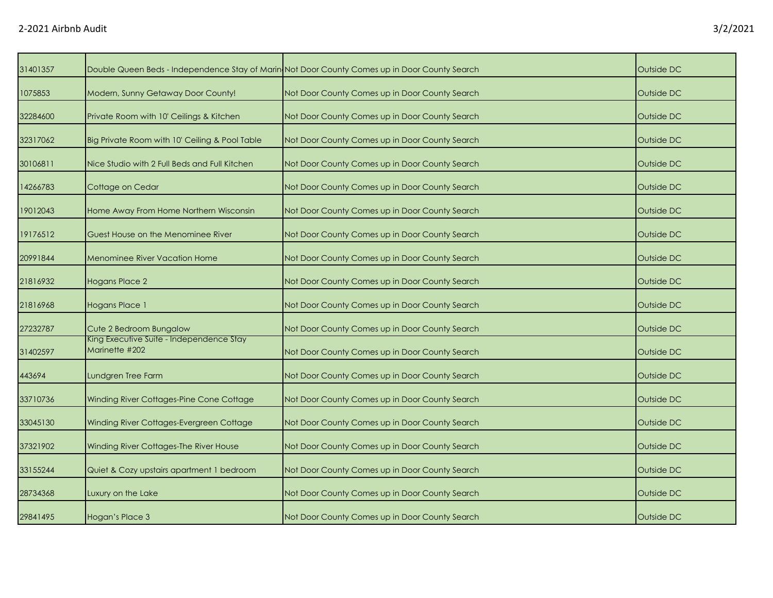| 31401357 |                                                            | Double Queen Beds - Independence Stay of Marin Not Door County Comes up in Door County Search | Outside DC |
|----------|------------------------------------------------------------|-----------------------------------------------------------------------------------------------|------------|
| 1075853  | Modern, Sunny Getaway Door County!                         | Not Door County Comes up in Door County Search                                                | Outside DC |
| 32284600 | Private Room with 10' Ceilings & Kitchen                   | Not Door County Comes up in Door County Search                                                | Outside DC |
| 32317062 | Big Private Room with 10' Ceiling & Pool Table             | Not Door County Comes up in Door County Search                                                | Outside DC |
| 30106811 | Nice Studio with 2 Full Beds and Full Kitchen              | Not Door County Comes up in Door County Search                                                | Outside DC |
| 14266783 | Cottage on Cedar                                           | Not Door County Comes up in Door County Search                                                | Outside DC |
| 19012043 | Home Away From Home Northern Wisconsin                     | Not Door County Comes up in Door County Search                                                | Outside DC |
| 19176512 | Guest House on the Menominee River                         | Not Door County Comes up in Door County Search                                                | Outside DC |
| 20991844 | <b>Menominee River Vacation Home</b>                       | Not Door County Comes up in Door County Search                                                | Outside DC |
| 21816932 | <b>Hogans Place 2</b>                                      | Not Door County Comes up in Door County Search                                                | Outside DC |
| 21816968 | <b>Hogans Place 1</b>                                      | Not Door County Comes up in Door County Search                                                | Outside DC |
| 27232787 | Cute 2 Bedroom Bungalow                                    | Not Door County Comes up in Door County Search                                                | Outside DC |
| 31402597 | King Executive Suite - Independence Stay<br>Marinette #202 | Not Door County Comes up in Door County Search                                                | Outside DC |
| 443694   | Lundgren Tree Farm                                         | Not Door County Comes up in Door County Search                                                | Outside DC |
| 33710736 | Winding River Cottages-Pine Cone Cottage                   | Not Door County Comes up in Door County Search                                                | Outside DC |
| 33045130 | Winding River Cottages-Evergreen Cottage                   | Not Door County Comes up in Door County Search                                                | Outside DC |
| 37321902 | Winding River Cottages-The River House                     | Not Door County Comes up in Door County Search                                                | Outside DC |
| 33155244 | Quiet & Cozy upstairs apartment 1 bedroom                  | Not Door County Comes up in Door County Search                                                | Outside DC |
| 28734368 | Luxury on the Lake                                         | Not Door County Comes up in Door County Search                                                | Outside DC |
| 29841495 | Hogan's Place 3                                            | Not Door County Comes up in Door County Search                                                | Outside DC |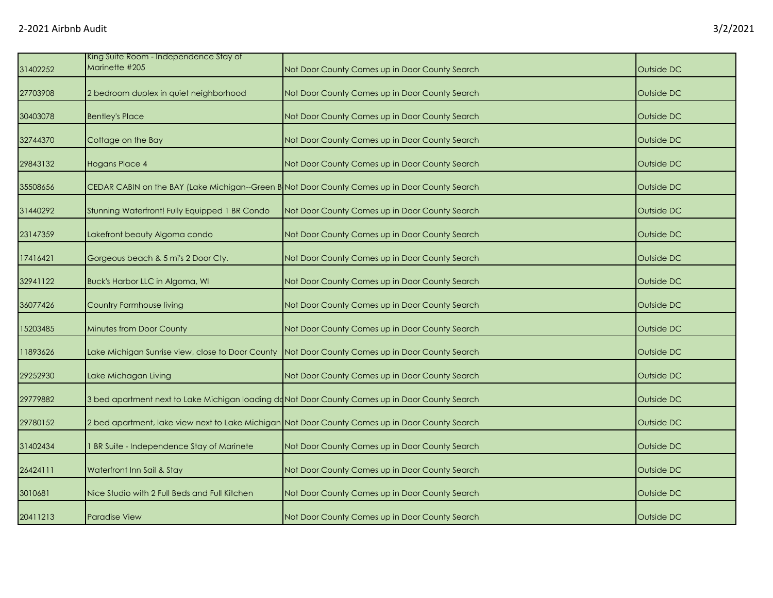| 31402252 | King Suite Room - Independence Stay of<br>Marinette #205 | Not Door County Comes up in Door County Search                                                  | Outside DC |
|----------|----------------------------------------------------------|-------------------------------------------------------------------------------------------------|------------|
| 27703908 | 2 bedroom duplex in quiet neighborhood                   | Not Door County Comes up in Door County Search                                                  | Outside DC |
| 30403078 | <b>Bentley's Place</b>                                   | Not Door County Comes up in Door County Search                                                  | Outside DC |
| 32744370 | Cottage on the Bay                                       | Not Door County Comes up in Door County Search                                                  | Outside DC |
| 29843132 | Hogans Place 4                                           | Not Door County Comes up in Door County Search                                                  | Outside DC |
| 35508656 |                                                          | CEDAR CABIN on the BAY (Lake Michigan--Green B Not Door County Comes up in Door County Search   | Outside DC |
| 31440292 | Stunning Waterfront! Fully Equipped 1 BR Condo           | Not Door County Comes up in Door County Search                                                  | Outside DC |
| 23147359 | Lakefront beauty Algoma condo                            | Not Door County Comes up in Door County Search                                                  | Outside DC |
| 17416421 | Gorgeous beach & 5 mi's 2 Door Cty.                      | Not Door County Comes up in Door County Search                                                  | Outside DC |
| 32941122 | Buck's Harbor LLC in Algoma, WI                          | Not Door County Comes up in Door County Search                                                  | Outside DC |
| 36077426 | Country Farmhouse living                                 | Not Door County Comes up in Door County Search                                                  | Outside DC |
| 15203485 | Minutes from Door County                                 | Not Door County Comes up in Door County Search                                                  | Outside DC |
| 11893626 | Lake Michigan Sunrise view, close to Door County         | Not Door County Comes up in Door County Search                                                  | Outside DC |
| 29252930 | Lake Michagan Living                                     | Not Door County Comes up in Door County Search                                                  | Outside DC |
| 29779882 |                                                          | 3 bed apartment next to Lake Michigan loading doNot Door County Comes up in Door County Search  | Outside DC |
| 29780152 |                                                          | 2 bed apartment, lake view next to Lake Michigan Not Door County Comes up in Door County Search | Outside DC |
| 31402434 | BR Suite - Independence Stay of Marinete                 | Not Door County Comes up in Door County Search                                                  | Outside DC |
| 26424111 | Waterfront Inn Sail & Stay                               | Not Door County Comes up in Door County Search                                                  | Outside DC |
| 3010681  | Nice Studio with 2 Full Beds and Full Kitchen            | Not Door County Comes up in Door County Search                                                  | Outside DC |
| 20411213 | <b>Paradise View</b>                                     | Not Door County Comes up in Door County Search                                                  | Outside DC |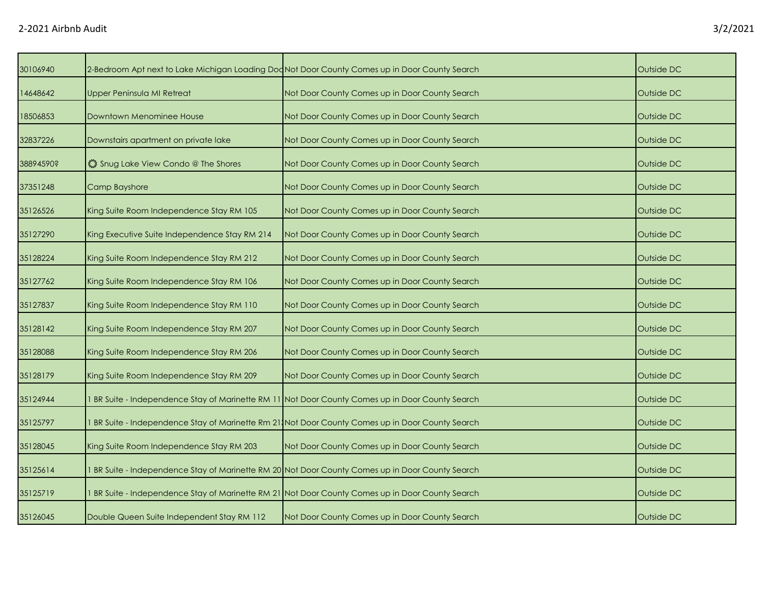| 30106940  | 2-Bedroom Apt next to Lake Michigan Loading Dod Not Door County Comes up in Door County Search |                                                                                                 | Outside DC |
|-----------|------------------------------------------------------------------------------------------------|-------------------------------------------------------------------------------------------------|------------|
| 14648642  | <b>Upper Peninsula MI Retreat</b>                                                              | Not Door County Comes up in Door County Search                                                  | Outside DC |
| 18506853  | Downtown Menominee House                                                                       | Not Door County Comes up in Door County Search                                                  | Outside DC |
| 32837226  | Downstairs apartment on private lake                                                           | Not Door County Comes up in Door County Search                                                  | Outside DC |
| 38894590? | Shug Lake View Condo @ The Shores                                                              | Not Door County Comes up in Door County Search                                                  | Outside DC |
| 37351248  | Camp Bayshore                                                                                  | Not Door County Comes up in Door County Search                                                  | Outside DC |
| 35126526  | King Suite Room Independence Stay RM 105                                                       | Not Door County Comes up in Door County Search                                                  | Outside DC |
| 35127290  | King Executive Suite Independence Stay RM 214                                                  | Not Door County Comes up in Door County Search                                                  | Outside DC |
| 35128224  | King Suite Room Independence Stay RM 212                                                       | Not Door County Comes up in Door County Search                                                  | Outside DC |
| 35127762  | King Suite Room Independence Stay RM 106                                                       | Not Door County Comes up in Door County Search                                                  | Outside DC |
| 35127837  | King Suite Room Independence Stay RM 110                                                       | Not Door County Comes up in Door County Search                                                  | Outside DC |
| 35128142  | King Suite Room Independence Stay RM 207                                                       | Not Door County Comes up in Door County Search                                                  | Outside DC |
| 35128088  | King Suite Room Independence Stay RM 206                                                       | Not Door County Comes up in Door County Search                                                  | Outside DC |
| 35128179  | King Suite Room Independence Stay RM 209                                                       | Not Door County Comes up in Door County Search                                                  | Outside DC |
| 35124944  |                                                                                                | BR Suite - Independence Stay of Marinette RM 11 Not Door County Comes up in Door County Search  | Outside DC |
| 35125797  |                                                                                                | BR Suite - Independence Stay of Marinette Rm 21, Not Door County Comes up in Door County Search | Outside DC |
| 35128045  | King Suite Room Independence Stay RM 203                                                       | Not Door County Comes up in Door County Search                                                  | Outside DC |
| 35125614  |                                                                                                | BR Suite - Independence Stay of Marinette RM 20 Not Door County Comes up in Door County Search  | Outside DC |
| 35125719  |                                                                                                | BR Suite - Independence Stay of Marinette RM 21 Not Door County Comes up in Door County Search  | Outside DC |
| 35126045  | Double Queen Suite Independent Stay RM 112                                                     | Not Door County Comes up in Door County Search                                                  | Outside DC |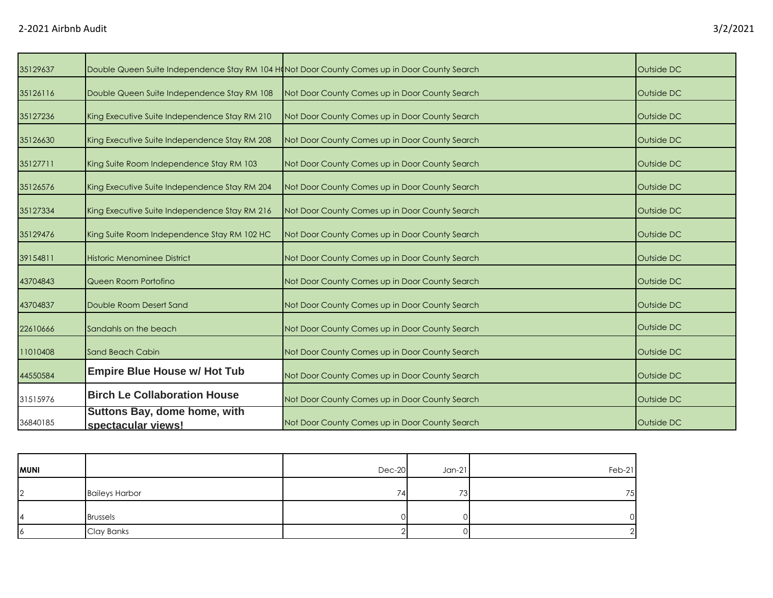| 3/2/2021 |
|----------|
|----------|

| 35129637 | Double Queen Suite Independence Stay RM 104 Hond Door County Comes up in Door County Search |                                                | Outside DC |
|----------|---------------------------------------------------------------------------------------------|------------------------------------------------|------------|
| 35126116 | Double Queen Suite Independence Stay RM 108                                                 | Not Door County Comes up in Door County Search | Outside DC |
| 35127236 | King Executive Suite Independence Stay RM 210                                               | Not Door County Comes up in Door County Search | Outside DC |
| 35126630 | King Executive Suite Independence Stay RM 208                                               | Not Door County Comes up in Door County Search | Outside DC |
| 35127711 | King Suite Room Independence Stay RM 103                                                    | Not Door County Comes up in Door County Search | Outside DC |
| 35126576 | King Executive Suite Independence Stay RM 204                                               | Not Door County Comes up in Door County Search | Outside DC |
| 35127334 | King Executive Suite Independence Stay RM 216                                               | Not Door County Comes up in Door County Search | Outside DC |
| 35129476 | King Suite Room Independence Stay RM 102 HC                                                 | Not Door County Comes up in Door County Search | Outside DC |
| 39154811 | Historic Menominee District                                                                 | Not Door County Comes up in Door County Search | Outside DC |
| 43704843 | Queen Room Portofino                                                                        | Not Door County Comes up in Door County Search | Outside DC |
| 43704837 | Double Room Desert Sand                                                                     | Not Door County Comes up in Door County Search | Outside DC |
| 22610666 | Sandahls on the beach                                                                       | Not Door County Comes up in Door County Search | Outside DC |
| 11010408 | Sand Beach Cabin                                                                            | Not Door County Comes up in Door County Search | Outside DC |
| 44550584 | <b>Empire Blue House w/ Hot Tub</b>                                                         | Not Door County Comes up in Door County Search | Outside DC |
| 31515976 | <b>Birch Le Collaboration House</b>                                                         | Not Door County Comes up in Door County Search | Outside DC |
| 36840185 | Suttons Bay, dome home, with<br>spectacular views!                                          | Not Door County Comes up in Door County Search | Outside DC |

| <b>MUNI</b> |                       | $Dec-20$ | $Jan-21$ | Feb-21 |
|-------------|-----------------------|----------|----------|--------|
| 12          | <b>Baileys Harbor</b> | 74       | 73       | 75     |
| I4          | <b>Brussels</b>       |          |          | ∩      |
| 16          | Clay Banks            |          |          |        |